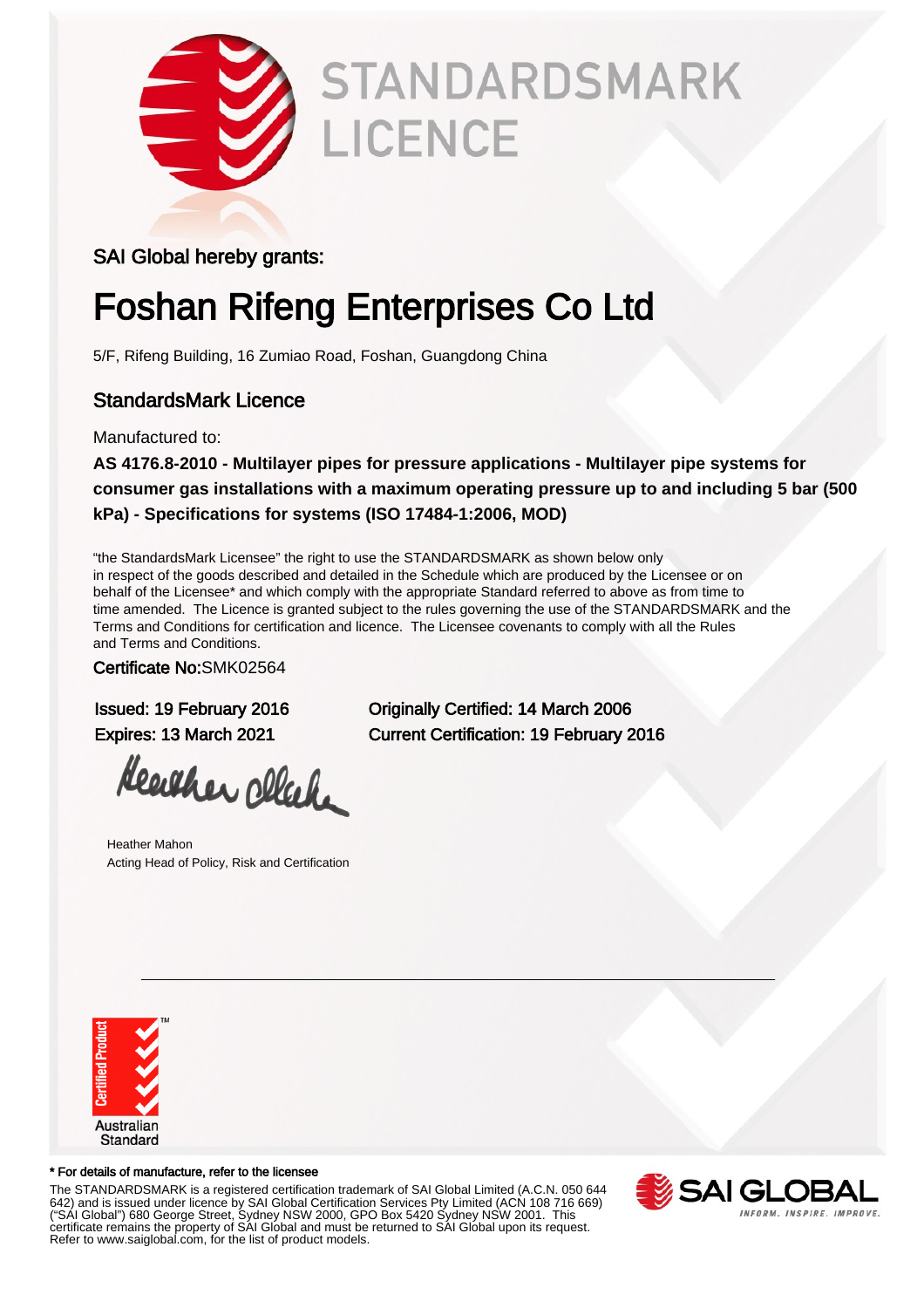

# **STANDARDSMARK** LICENCE

#### SAI Global hereby grants:

# Foshan Rifeng Enterprises Co Ltd

5/F, Rifeng Building, 16 Zumiao Road, Foshan, Guangdong China

### StandardsMark Licence

Manufactured to:

**AS 4176.8-2010 - Multilayer pipes for pressure applications - Multilayer pipe systems for consumer gas installations with a maximum operating pressure up to and including 5 bar (500 kPa) - Specifications for systems (ISO 17484-1:2006, MOD)**

"the StandardsMark Licensee" the right to use the STANDARDSMARK as shown below only in respect of the goods described and detailed in the Schedule which are produced by the Licensee or on behalf of the Licensee\* and which comply with the appropriate Standard referred to above as from time to time amended. The Licence is granted subject to the rules governing the use of the STANDARDSMARK and the Terms and Conditions for certification and licence. The Licensee covenants to comply with all the Rules and Terms and Conditions.

Certificate No:SMK02564

Heather cleak

Heather Mahon Acting Head of Policy, Risk and Certification

Issued: 19 February 2016 Originally Certified: 14 March 2006 Expires: 13 March 2021 Current Certification: 19 February 2016



#### \* For details of manufacture, refer to the licensee

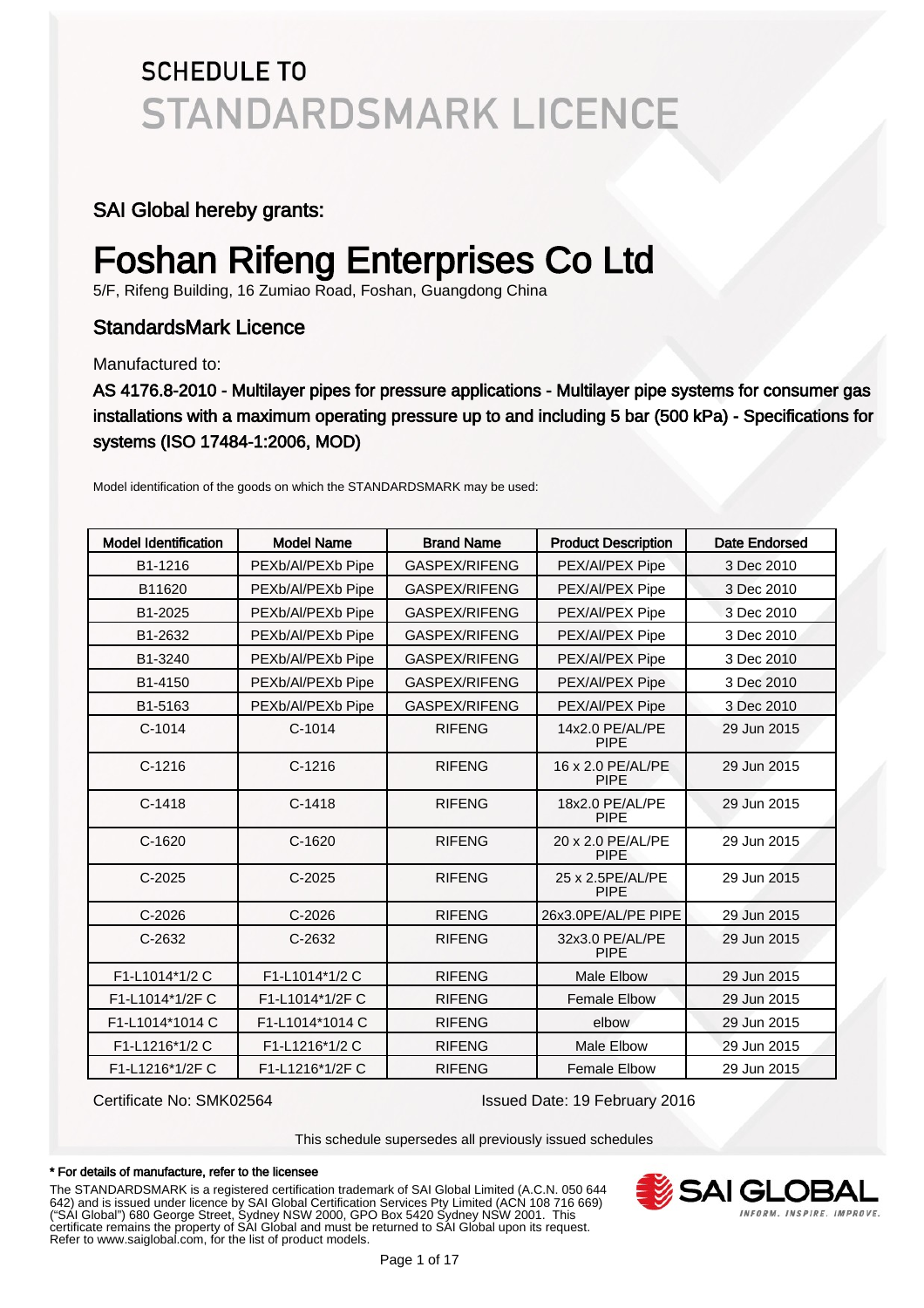#### SAI Global hereby grants:

## Foshan Rifeng Enterprises Co Ltd

5/F, Rifeng Building, 16 Zumiao Road, Foshan, Guangdong China

### StandardsMark Licence

Manufactured to:

AS 4176.8-2010 - Multilayer pipes for pressure applications - Multilayer pipe systems for consumer gas installations with a maximum operating pressure up to and including 5 bar (500 kPa) - Specifications for systems (ISO 17484-1:2006, MOD)

| <b>Model Identification</b> | <b>Model Name</b> | <b>Brand Name</b>    | <b>Product Description</b>       | Date Endorsed |
|-----------------------------|-------------------|----------------------|----------------------------------|---------------|
| B1-1216                     | PEXb/Al/PEXb Pipe | GASPEX/RIFENG        | PEX/Al/PEX Pipe                  | 3 Dec 2010    |
| B11620                      | PEXb/Al/PEXb Pipe | GASPEX/RIFENG        | PEX/Al/PEX Pipe                  | 3 Dec 2010    |
| B1-2025                     | PEXb/Al/PEXb Pipe | <b>GASPEX/RIFENG</b> | PEX/Al/PEX Pipe                  | 3 Dec 2010    |
| B1-2632                     | PEXb/Al/PEXb Pipe | GASPEX/RIFENG        | PEX/Al/PEX Pipe                  | 3 Dec 2010    |
| B1-3240                     | PEXb/Al/PEXb Pipe | GASPEX/RIFENG        | PEX/Al/PEX Pipe                  | 3 Dec 2010    |
| B1-4150                     | PEXb/Al/PEXb Pipe | GASPEX/RIFENG        | PEX/Al/PEX Pipe                  | 3 Dec 2010    |
| B1-5163                     | PEXb/Al/PEXb Pipe | GASPEX/RIFENG        | PEX/Al/PEX Pipe                  | 3 Dec 2010    |
| $C-1014$                    | $C-1014$          | <b>RIFENG</b>        | 14x2.0 PE/AL/PE<br><b>PIPE</b>   | 29 Jun 2015   |
| $C-1216$                    | $C-1216$          | <b>RIFENG</b>        | 16 x 2.0 PE/AL/PE<br><b>PIPE</b> | 29 Jun 2015   |
| $C-1418$                    | $C-1418$          | <b>RIFENG</b>        | 18x2.0 PE/AL/PE<br><b>PIPE</b>   | 29 Jun 2015   |
| $C-1620$                    | $C-1620$          | <b>RIFENG</b>        | 20 x 2.0 PE/AL/PE<br><b>PIPE</b> | 29 Jun 2015   |
| $C-2025$                    | $C-2025$          | <b>RIFENG</b>        | 25 x 2.5PE/AL/PE<br><b>PIPE</b>  | 29 Jun 2015   |
| $C-2026$                    | $C-2026$          | <b>RIFENG</b>        | 26x3.0PE/AL/PE PIPE              | 29 Jun 2015   |
| C-2632                      | C-2632            | <b>RIFENG</b>        | 32x3.0 PE/AL/PE<br><b>PIPE</b>   | 29 Jun 2015   |
| F1-L1014*1/2 C              | F1-L1014*1/2 C    | <b>RIFENG</b>        | Male Elbow                       | 29 Jun 2015   |
| F1-L1014*1/2F C             | F1-L1014*1/2F C   | <b>RIFENG</b>        | <b>Female Elbow</b>              | 29 Jun 2015   |
| F1-L1014*1014 C             | F1-L1014*1014 C   | <b>RIFENG</b>        | elbow                            | 29 Jun 2015   |
| F1-L1216*1/2 C              | F1-L1216*1/2 C    | <b>RIFENG</b>        | <b>Male Elbow</b>                | 29 Jun 2015   |
| F1-L1216*1/2F C             | F1-L1216*1/2F C   | <b>RIFENG</b>        | <b>Female Elbow</b>              | 29 Jun 2015   |

Model identification of the goods on which the STANDARDSMARK may be used:

Certificate No: SMK02564 Issued Date: 19 February 2016

This schedule supersedes all previously issued schedules

#### \* For details of manufacture, refer to the licensee

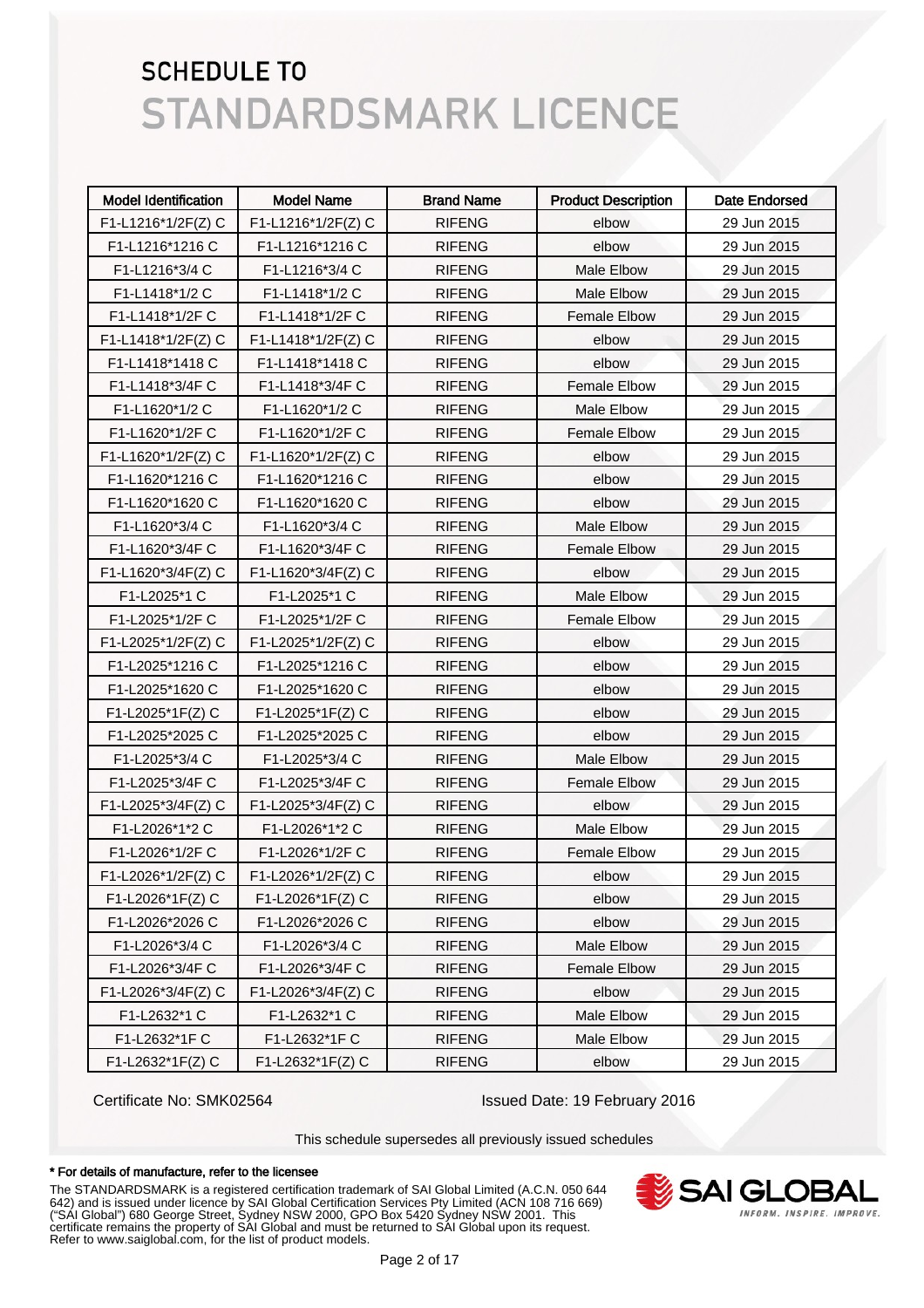| <b>Model Identification</b> | <b>Model Name</b>    | <b>Brand Name</b> | <b>Product Description</b> | <b>Date Endorsed</b> |
|-----------------------------|----------------------|-------------------|----------------------------|----------------------|
| F1-L1216*1/2F(Z) C          | F1-L1216*1/2F(Z) C   | <b>RIFENG</b>     | elbow                      | 29 Jun 2015          |
| F1-L1216*1216 C             | F1-L1216*1216 C      | <b>RIFENG</b>     | elbow                      | 29 Jun 2015          |
| F1-L1216*3/4 C              | F1-L1216*3/4 C       | <b>RIFENG</b>     | Male Elbow                 | 29 Jun 2015          |
| F1-L1418*1/2 C              | F1-L1418*1/2 C       | <b>RIFENG</b>     | Male Elbow                 | 29 Jun 2015          |
| F1-L1418*1/2F C             | F1-L1418*1/2F C      | <b>RIFENG</b>     | <b>Female Elbow</b>        | 29 Jun 2015          |
| F1-L1418*1/2F(Z) C          | F1-L1418*1/2F(Z) C   | <b>RIFENG</b>     | elbow                      | 29 Jun 2015          |
| F1-L1418*1418 C             | F1-L1418*1418 C      | <b>RIFENG</b>     | elbow                      | 29 Jun 2015          |
| F1-L1418*3/4F C             | F1-L1418*3/4F C      | <b>RIFENG</b>     | <b>Female Elbow</b>        | 29 Jun 2015          |
| F1-L1620*1/2 C              | F1-L1620*1/2 C       | <b>RIFENG</b>     | Male Elbow                 | 29 Jun 2015          |
| F1-L1620*1/2F C             | F1-L1620*1/2F C      | <b>RIFENG</b>     | <b>Female Elbow</b>        | 29 Jun 2015          |
| F1-L1620*1/2F(Z) C          | $F1-L1620*1/2F(Z)$ C | <b>RIFENG</b>     | elbow                      | 29 Jun 2015          |
| F1-L1620*1216 C             | F1-L1620*1216 C      | <b>RIFENG</b>     | elbow                      | 29 Jun 2015          |
| F1-L1620*1620 C             | F1-L1620*1620 C      | <b>RIFENG</b>     | elbow                      | 29 Jun 2015          |
| F1-L1620*3/4 C              | F1-L1620*3/4 C       | <b>RIFENG</b>     | <b>Male Elbow</b>          | 29 Jun 2015          |
| F1-L1620*3/4F C             | F1-L1620*3/4F C      | <b>RIFENG</b>     | <b>Female Elbow</b>        | 29 Jun 2015          |
| F1-L1620*3/4F(Z) C          | F1-L1620*3/4F(Z) C   | <b>RIFENG</b>     | elbow                      | 29 Jun 2015          |
| F1-L2025*1 C                | F1-L2025*1 C         | <b>RIFENG</b>     | Male Elbow                 | 29 Jun 2015          |
| F1-L2025*1/2F C             | F1-L2025*1/2F C      | <b>RIFENG</b>     | <b>Female Elbow</b>        | 29 Jun 2015          |
| F1-L2025*1/2F(Z) C          | F1-L2025*1/2F(Z) C   | <b>RIFENG</b>     | elbow                      | 29 Jun 2015          |
| F1-L2025*1216 C             | F1-L2025*1216 C      | <b>RIFENG</b>     | elbow                      | 29 Jun 2015          |
| F1-L2025*1620 C             | F1-L2025*1620 C      | <b>RIFENG</b>     | elbow                      | 29 Jun 2015          |
| F1-L2025*1F(Z) C            | F1-L2025*1F(Z) C     | <b>RIFENG</b>     | elbow                      | 29 Jun 2015          |
| F1-L2025*2025 C             | F1-L2025*2025 C      | <b>RIFENG</b>     | elbow                      | 29 Jun 2015          |
| F1-L2025*3/4 C              | F1-L2025*3/4 C       | <b>RIFENG</b>     | Male Elbow                 | 29 Jun 2015          |
| F1-L2025*3/4F C             | F1-L2025*3/4F C      | <b>RIFENG</b>     | <b>Female Elbow</b>        | 29 Jun 2015          |
| F1-L2025*3/4F(Z) C          | F1-L2025*3/4F(Z) C   | <b>RIFENG</b>     | elbow                      | 29 Jun 2015          |
| F1-L2026*1*2 C              | F1-L2026*1*2 C       | <b>RIFENG</b>     | Male Elbow                 | 29 Jun 2015          |
| F1-L2026*1/2F C             | F1-L2026*1/2F C      | <b>RIFENG</b>     | <b>Female Elbow</b>        | 29 Jun 2015          |
| F1-L2026*1/2F(Z) C          | F1-L2026*1/2F(Z) C   | <b>RIFENG</b>     | elbow                      | 29 Jun 2015          |
| F1-L2026*1F(Z) C            | F1-L2026*1F(Z) C     | <b>RIFENG</b>     | elbow                      | 29 Jun 2015          |
| F1-L2026*2026 C             | F1-L2026*2026 C      | <b>RIFENG</b>     | elbow                      | 29 Jun 2015          |
| F1-L2026*3/4 C              | F1-L2026*3/4 C       | <b>RIFENG</b>     | Male Elbow                 | 29 Jun 2015          |
| F1-L2026*3/4F C             | F1-L2026*3/4F C      | <b>RIFENG</b>     | <b>Female Elbow</b>        | 29 Jun 2015          |
| F1-L2026*3/4F(Z) C          | F1-L2026*3/4F(Z) C   | <b>RIFENG</b>     | elbow                      | 29 Jun 2015          |
| F1-L2632*1 C                | F1-L2632*1 C         | <b>RIFENG</b>     | Male Elbow                 | 29 Jun 2015          |
| F1-L2632*1F C               | F1-L2632*1F C        | <b>RIFENG</b>     | Male Elbow                 | 29 Jun 2015          |
| F1-L2632*1F(Z) C            | F1-L2632*1F(Z) C     | <b>RIFENG</b>     | elbow                      | 29 Jun 2015          |

Certificate No: SMK02564 Issued Date: 19 February 2016

This schedule supersedes all previously issued schedules

#### \* For details of manufacture, refer to the licensee

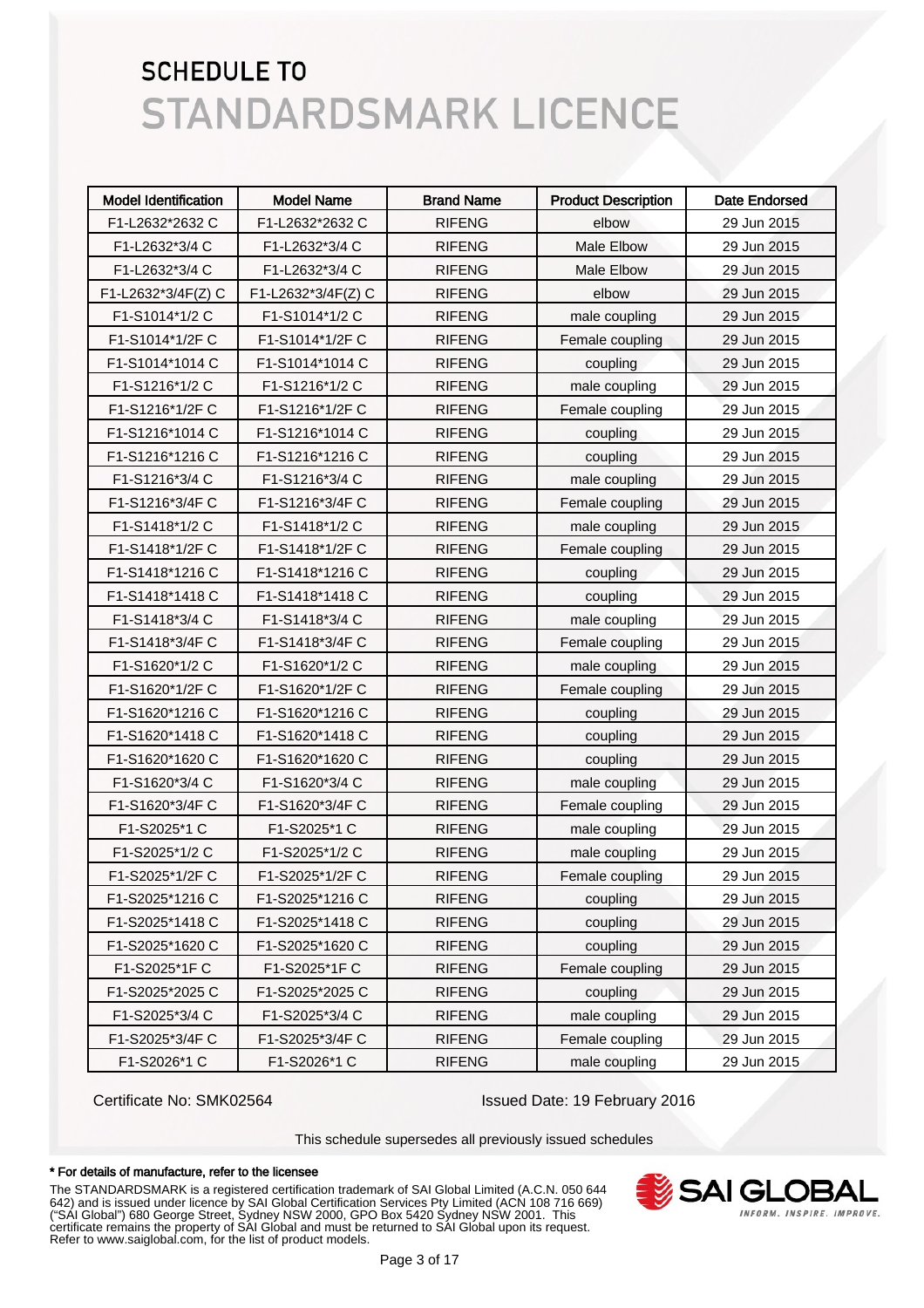| <b>Model Identification</b> | <b>Model Name</b>  | <b>Brand Name</b> | <b>Product Description</b> | <b>Date Endorsed</b> |
|-----------------------------|--------------------|-------------------|----------------------------|----------------------|
| F1-L2632*2632 C             | F1-L2632*2632 C    | <b>RIFENG</b>     | elbow                      | 29 Jun 2015          |
| F1-L2632*3/4 C              | F1-L2632*3/4 C     | <b>RIFENG</b>     | Male Elbow                 | 29 Jun 2015          |
| F1-L2632*3/4 C              | F1-L2632*3/4 C     | <b>RIFENG</b>     | Male Elbow                 | 29 Jun 2015          |
| F1-L2632*3/4F(Z) C          | F1-L2632*3/4F(Z) C | <b>RIFENG</b>     | elbow                      | 29 Jun 2015          |
| F1-S1014*1/2 C              | F1-S1014*1/2 C     | <b>RIFENG</b>     | male coupling              | 29 Jun 2015          |
| F1-S1014*1/2F C             | F1-S1014*1/2F C    | <b>RIFENG</b>     | Female coupling            | 29 Jun 2015          |
| F1-S1014*1014 C             | F1-S1014*1014 C    | <b>RIFENG</b>     | coupling                   | 29 Jun 2015          |
| F1-S1216*1/2 C              | F1-S1216*1/2 C     | <b>RIFENG</b>     | male coupling              | 29 Jun 2015          |
| F1-S1216*1/2F C             | F1-S1216*1/2FC     | <b>RIFENG</b>     | Female coupling            | 29 Jun 2015          |
| F1-S1216*1014 C             | F1-S1216*1014 C    | <b>RIFENG</b>     | coupling                   | 29 Jun 2015          |
| F1-S1216*1216 C             | F1-S1216*1216 C    | <b>RIFENG</b>     | coupling                   | 29 Jun 2015          |
| F1-S1216*3/4 C              | F1-S1216*3/4 C     | <b>RIFENG</b>     | male coupling              | 29 Jun 2015          |
| F1-S1216*3/4F C             | F1-S1216*3/4F C    | <b>RIFENG</b>     | Female coupling            | 29 Jun 2015          |
| F1-S1418*1/2 C              | F1-S1418*1/2 C     | <b>RIFENG</b>     | male coupling              | 29 Jun 2015          |
| F1-S1418*1/2F C             | F1-S1418*1/2FC     | <b>RIFENG</b>     | Female coupling            | 29 Jun 2015          |
| F1-S1418*1216 C             | F1-S1418*1216 C    | <b>RIFENG</b>     | coupling                   | 29 Jun 2015          |
| F1-S1418*1418 C             | F1-S1418*1418 C    | <b>RIFENG</b>     | coupling                   | 29 Jun 2015          |
| F1-S1418*3/4 C              | F1-S1418*3/4 C     | <b>RIFENG</b>     | male coupling              | 29 Jun 2015          |
| F1-S1418*3/4F C             | F1-S1418*3/4FC     | <b>RIFENG</b>     | Female coupling            | 29 Jun 2015          |
| F1-S1620*1/2 C              | F1-S1620*1/2 C     | <b>RIFENG</b>     | male coupling              | 29 Jun 2015          |
| F1-S1620*1/2F C             | F1-S1620*1/2F C    | <b>RIFENG</b>     | Female coupling            | 29 Jun 2015          |
| F1-S1620*1216 C             | F1-S1620*1216 C    | <b>RIFENG</b>     | coupling                   | 29 Jun 2015          |
| F1-S1620*1418 C             | F1-S1620*1418 C    | <b>RIFENG</b>     | coupling                   | 29 Jun 2015          |
| F1-S1620*1620 C             | F1-S1620*1620 C    | <b>RIFENG</b>     | coupling                   | 29 Jun 2015          |
| F1-S1620*3/4 C              | F1-S1620*3/4 C     | <b>RIFENG</b>     | male coupling              | 29 Jun 2015          |
| F1-S1620*3/4F C             | F1-S1620*3/4F C    | <b>RIFENG</b>     | Female coupling            | 29 Jun 2015          |
| F1-S2025*1 C                | F1-S2025*1 C       | <b>RIFENG</b>     | male coupling              | 29 Jun 2015          |
| F1-S2025*1/2 C              | F1-S2025*1/2 C     | <b>RIFENG</b>     | male coupling              | 29 Jun 2015          |
| F1-S2025*1/2F C             | F1-S2025*1/2F C    | <b>RIFENG</b>     | Female coupling            | 29 Jun 2015          |
| F1-S2025*1216 C             | F1-S2025*1216 C    | <b>RIFENG</b>     | coupling                   | 29 Jun 2015          |
| F1-S2025*1418 C             | F1-S2025*1418 C    | <b>RIFENG</b>     | coupling                   | 29 Jun 2015          |
| F1-S2025*1620 C             | F1-S2025*1620 C    | <b>RIFENG</b>     | coupling                   | 29 Jun 2015          |
| F1-S2025*1F C               | F1-S2025*1FC       | <b>RIFENG</b>     | Female coupling            | 29 Jun 2015          |
| F1-S2025*2025 C             | F1-S2025*2025 C    | <b>RIFENG</b>     | coupling                   | 29 Jun 2015          |
| F1-S2025*3/4 C              | F1-S2025*3/4 C     | <b>RIFENG</b>     | male coupling              | 29 Jun 2015          |
| F1-S2025*3/4F C             | F1-S2025*3/4F C    | <b>RIFENG</b>     | Female coupling            | 29 Jun 2015          |
| F1-S2026*1 C                | F1-S2026*1 C       | <b>RIFENG</b>     | male coupling              | 29 Jun 2015          |

Certificate No: SMK02564 Issued Date: 19 February 2016

This schedule supersedes all previously issued schedules

#### \* For details of manufacture, refer to the licensee

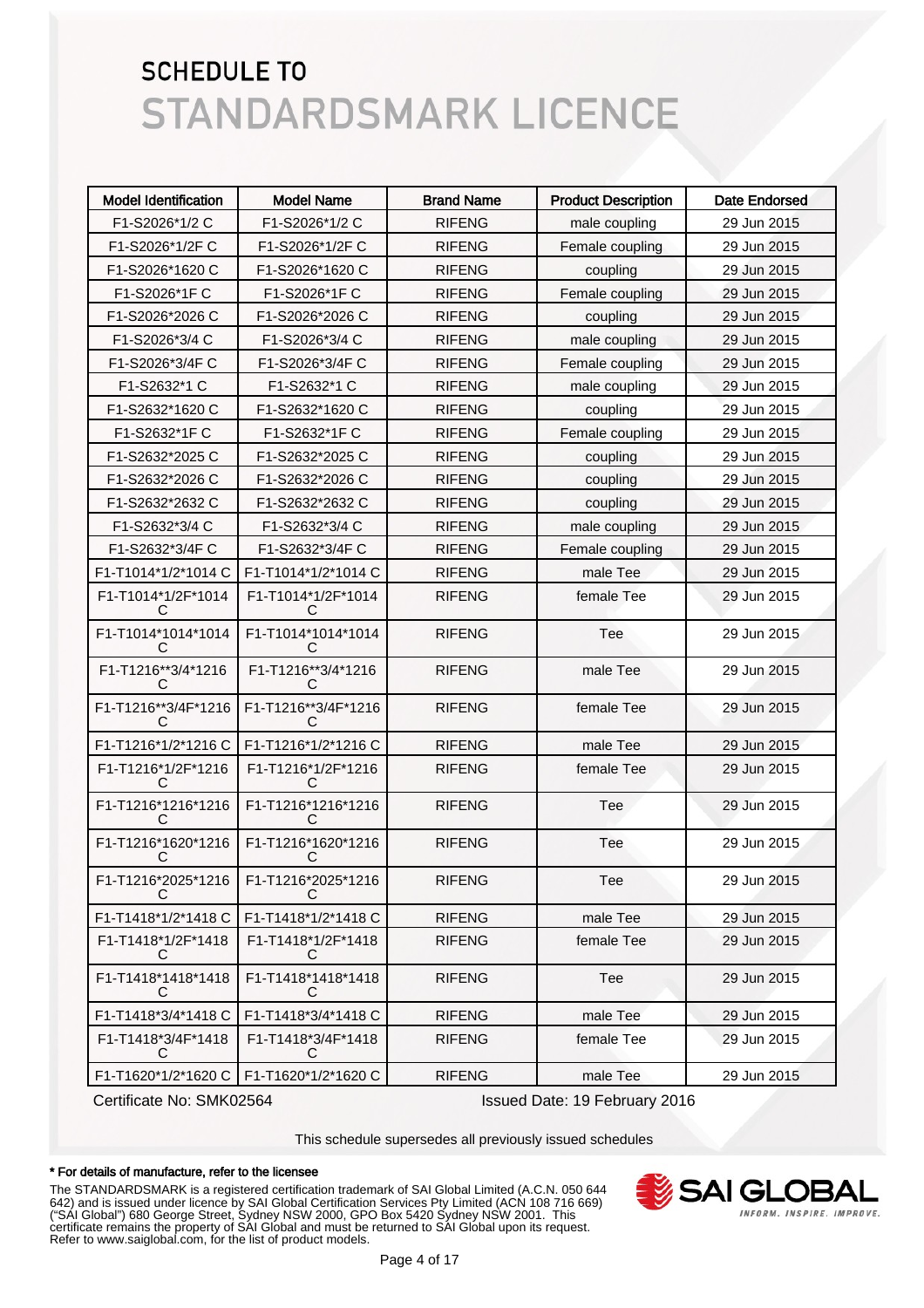| <b>Model Identification</b>           | <b>Model Name</b>       | <b>Brand Name</b> | <b>Product Description</b> | <b>Date Endorsed</b> |
|---------------------------------------|-------------------------|-------------------|----------------------------|----------------------|
| F1-S2026*1/2 C                        | F1-S2026*1/2 C          | <b>RIFENG</b>     | male coupling              | 29 Jun 2015          |
| F1-S2026*1/2F C                       | F1-S2026*1/2F C         | <b>RIFENG</b>     | Female coupling            | 29 Jun 2015          |
| F1-S2026*1620 C                       | F1-S2026*1620 C         | <b>RIFENG</b>     | coupling                   | 29 Jun 2015          |
| F1-S2026*1F C                         | F1-S2026*1F C           | <b>RIFENG</b>     | Female coupling            | 29 Jun 2015          |
| F1-S2026*2026 C                       | F1-S2026*2026 C         | <b>RIFENG</b>     | coupling                   | 29 Jun 2015          |
| F1-S2026*3/4 C                        | F1-S2026*3/4 C          | <b>RIFENG</b>     | male coupling              | 29 Jun 2015          |
| F1-S2026*3/4F C                       | F1-S2026*3/4F C         | <b>RIFENG</b>     | Female coupling            | 29 Jun 2015          |
| F1-S2632*1 C                          | F1-S2632*1 C            | <b>RIFENG</b>     | male coupling              | 29 Jun 2015          |
| F1-S2632*1620 C                       | F1-S2632*1620 C         | <b>RIFENG</b>     | coupling                   | 29 Jun 2015          |
| F1-S2632*1F C                         | F1-S2632*1F C           | <b>RIFENG</b>     | Female coupling            | 29 Jun 2015          |
| F1-S2632*2025 C                       | F1-S2632*2025 C         | <b>RIFENG</b>     | coupling                   | 29 Jun 2015          |
| F1-S2632*2026 C                       | F1-S2632*2026 C         | <b>RIFENG</b>     | coupling                   | 29 Jun 2015          |
| F1-S2632*2632 C                       | F1-S2632*2632 C         | <b>RIFENG</b>     | coupling                   | 29 Jun 2015          |
| F1-S2632*3/4 C                        | F1-S2632*3/4 C          | <b>RIFENG</b>     | male coupling              | 29 Jun 2015          |
| F1-S2632*3/4F C                       | F1-S2632*3/4F C         | <b>RIFENG</b>     | Female coupling            | 29 Jun 2015          |
| F1-T1014*1/2*1014 C                   | F1-T1014*1/2*1014 C     | <b>RIFENG</b>     | male Tee                   | 29 Jun 2015          |
| F1-T1014*1/2F*1014<br>C               | F1-T1014*1/2F*1014      | <b>RIFENG</b>     | female Tee                 | 29 Jun 2015          |
| F1-T1014*1014*1014<br>C               | F1-T1014*1014*1014<br>C | <b>RIFENG</b>     | Tee                        | 29 Jun 2015          |
| F1-T1216**3/4*1216<br>C               | F1-T1216**3/4*1216<br>C | <b>RIFENG</b>     | male Tee                   | 29 Jun 2015          |
| F1-T1216**3/4F*1216<br>$\mathfrak{c}$ | F1-T1216**3/4F*1216     | <b>RIFENG</b>     | female Tee                 | 29 Jun 2015          |
| F1-T1216*1/2*1216 C                   | F1-T1216*1/2*1216 C     | <b>RIFENG</b>     | male Tee                   | 29 Jun 2015          |
| F1-T1216*1/2F*1216<br>C               | F1-T1216*1/2F*1216<br>С | <b>RIFENG</b>     | female Tee                 | 29 Jun 2015          |
| F1-T1216*1216*1216<br>C               | F1-T1216*1216*1216<br>С | <b>RIFENG</b>     | Tee                        | 29 Jun 2015          |
| F1-T1216*1620*1216<br>С               | F1-T1216*1620*1216<br>С | <b>RIFENG</b>     | Tee                        | 29 Jun 2015          |
| F1-T1216*2025*1216<br>C               | F1-T1216*2025*1216<br>C | <b>RIFENG</b>     | Tee                        | 29 Jun 2015          |
| F1-T1418*1/2*1418 C                   | F1-T1418*1/2*1418 C     | <b>RIFENG</b>     | male Tee                   | 29 Jun 2015          |
| F1-T1418*1/2F*1418<br>C               | F1-T1418*1/2F*1418<br>C | <b>RIFENG</b>     | female Tee                 | 29 Jun 2015          |
| F1-T1418*1418*1418<br>С               | F1-T1418*1418*1418<br>C | <b>RIFENG</b>     | Tee                        | 29 Jun 2015          |
| F1-T1418*3/4*1418 C                   | F1-T1418*3/4*1418 C     | <b>RIFENG</b>     | male Tee                   | 29 Jun 2015          |
| F1-T1418*3/4F*1418<br>C               | F1-T1418*3/4F*1418<br>С | <b>RIFENG</b>     | female Tee                 | 29 Jun 2015          |
| F1-T1620*1/2*1620 C                   | F1-T1620*1/2*1620 C     | <b>RIFENG</b>     | male Tee                   | 29 Jun 2015          |

Certificate No: SMK02564 Issued Date: 19 February 2016

This schedule supersedes all previously issued schedules

#### \* For details of manufacture, refer to the licensee

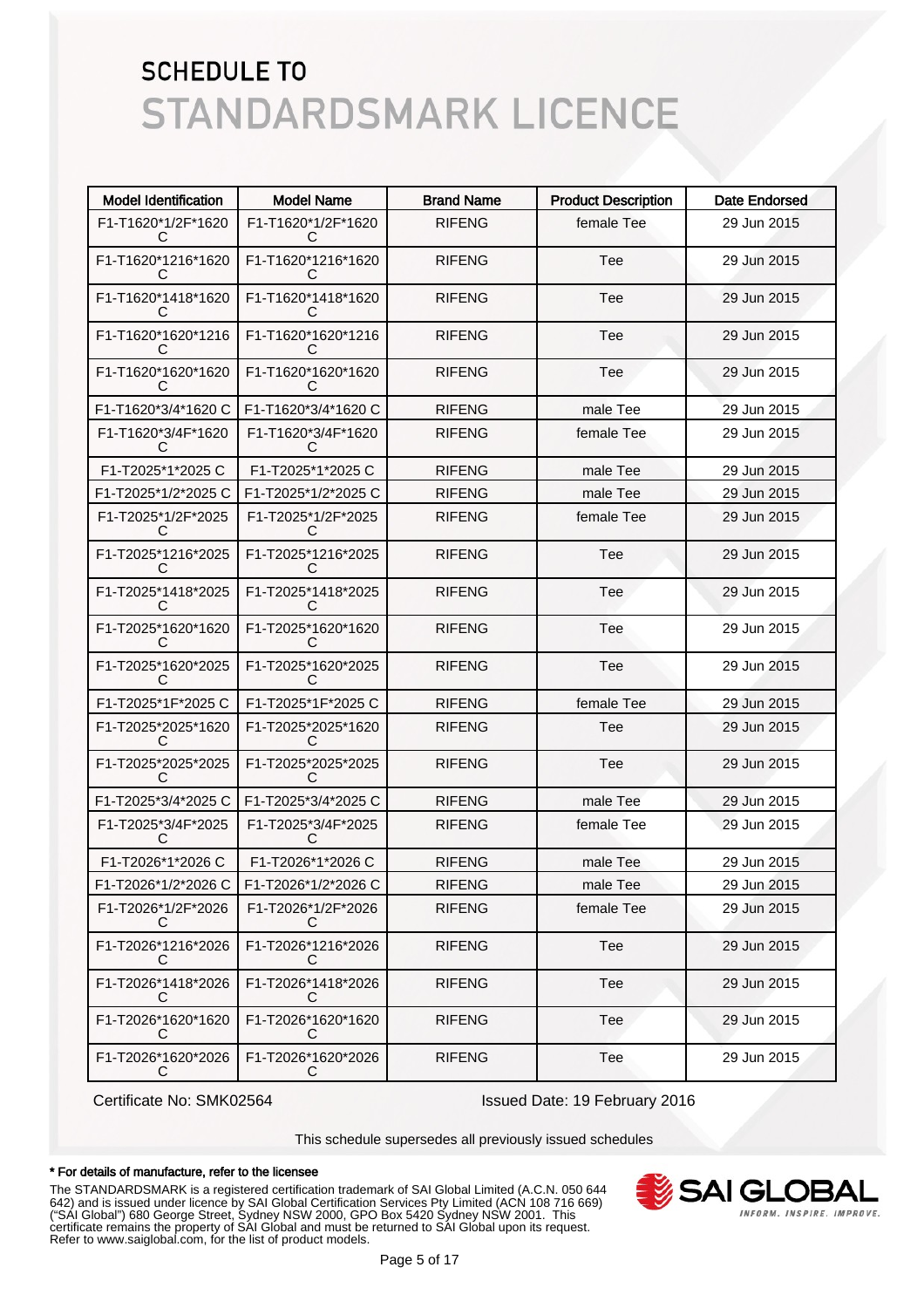| <b>Model Identification</b> | <b>Model Name</b>        | <b>Brand Name</b> | <b>Product Description</b> | <b>Date Endorsed</b> |
|-----------------------------|--------------------------|-------------------|----------------------------|----------------------|
| F1-T1620*1/2F*1620<br>C     | F1-T1620*1/2F*1620<br>C  | <b>RIFENG</b>     | female Tee                 | 29 Jun 2015          |
| F1-T1620*1216*1620<br>C     | F1-T1620*1216*1620<br>C  | <b>RIFENG</b>     | Tee                        | 29 Jun 2015          |
| F1-T1620*1418*1620<br>C     | F1-T1620*1418*1620<br>C  | <b>RIFENG</b>     | Tee                        | 29 Jun 2015          |
| F1-T1620*1620*1216<br>C     | F1-T1620*1620*1216<br>C  | <b>RIFENG</b>     | Tee                        | 29 Jun 2015          |
| F1-T1620*1620*1620<br>C     | F1-T1620*1620*1620<br>C  | <b>RIFENG</b>     | Tee                        | 29 Jun 2015          |
| F1-T1620*3/4*1620 C         | F1-T1620*3/4*1620 C      | <b>RIFENG</b>     | male Tee                   | 29 Jun 2015          |
| F1-T1620*3/4F*1620<br>C     | F1-T1620*3/4F*1620<br>C  | <b>RIFENG</b>     | female Tee                 | 29 Jun 2015          |
| F1-T2025*1*2025 C           | F1-T2025*1*2025 C        | <b>RIFENG</b>     | male Tee                   | 29 Jun 2015          |
| F1-T2025*1/2*2025 C         | F1-T2025*1/2*2025 C      | <b>RIFENG</b>     | male Tee                   | 29 Jun 2015          |
| F1-T2025*1/2F*2025<br>С     | F1-T2025*1/2F*2025<br>C  | <b>RIFENG</b>     | female Tee                 | 29 Jun 2015          |
| F1-T2025*1216*2025<br>C     | F1-T2025*1216*2025<br>C  | <b>RIFENG</b>     | Tee                        | 29 Jun 2015          |
| F1-T2025*1418*2025<br>C     | F1-T2025*1418*2025<br>C  | <b>RIFENG</b>     | Tee                        | 29 Jun 2015          |
| F1-T2025*1620*1620<br>C     | F1-T2025*1620*1620<br>C  | <b>RIFENG</b>     | Tee                        | 29 Jun 2015          |
| F1-T2025*1620*2025<br>C     | F1-T2025*1620*2025<br>С  | <b>RIFENG</b>     | Tee                        | 29 Jun 2015          |
| F1-T2025*1F*2025 C          | F1-T2025*1F*2025 C       | <b>RIFENG</b>     | female Tee                 | 29 Jun 2015          |
| F1-T2025*2025*1620<br>C     | F1-T2025*2025*1620<br>C  | <b>RIFENG</b>     | Tee                        | 29 Jun 2015          |
| F1-T2025*2025*2025<br>C     | F1-T2025*2025*2025<br>C  | <b>RIFENG</b>     | Tee                        | 29 Jun 2015          |
| F1-T2025*3/4*2025 C         | F1-T2025*3/4*2025 C      | <b>RIFENG</b>     | male Tee                   | 29 Jun 2015          |
| F1-T2025*3/4F*2025<br>C     | F1-T2025*3/4F*2025<br>C  | <b>RIFENG</b>     | female Tee                 | 29 Jun 2015          |
| F1-T2026*1*2026 C           | F1-T2026*1*2026 C        | <b>RIFENG</b>     | male Tee                   | 29 Jun 2015          |
| F1-T2026*1/2*2026 C         | F1-T2026*1/2*2026 C      | <b>RIFENG</b>     | male Tee                   | 29 Jun 2015          |
| F1-T2026*1/2F*2026<br>C     | F1-T2026*1/2F*2026<br>C  | <b>RIFENG</b>     | female Tee                 | 29 Jun 2015          |
| F1-T2026*1216*2026<br>C     | F1-T2026*1216*2026<br>C  | <b>RIFENG</b>     | Tee                        | 29 Jun 2015          |
| F1-T2026*1418*2026<br>С     | F1-T2026*1418*2026<br>C  | <b>RIFENG</b>     | Tee                        | 29 Jun 2015          |
| F1-T2026*1620*1620<br>С     | F1-T2026*1620*1620<br>C  | <b>RIFENG</b>     | Tee                        | 29 Jun 2015          |
| F1-T2026*1620*2026<br>C     | F1-T2026*1620*2026<br>C. | <b>RIFENG</b>     | Tee                        | 29 Jun 2015          |

Certificate No: SMK02564 Issued Date: 19 February 2016

This schedule supersedes all previously issued schedules

#### \* For details of manufacture, refer to the licensee

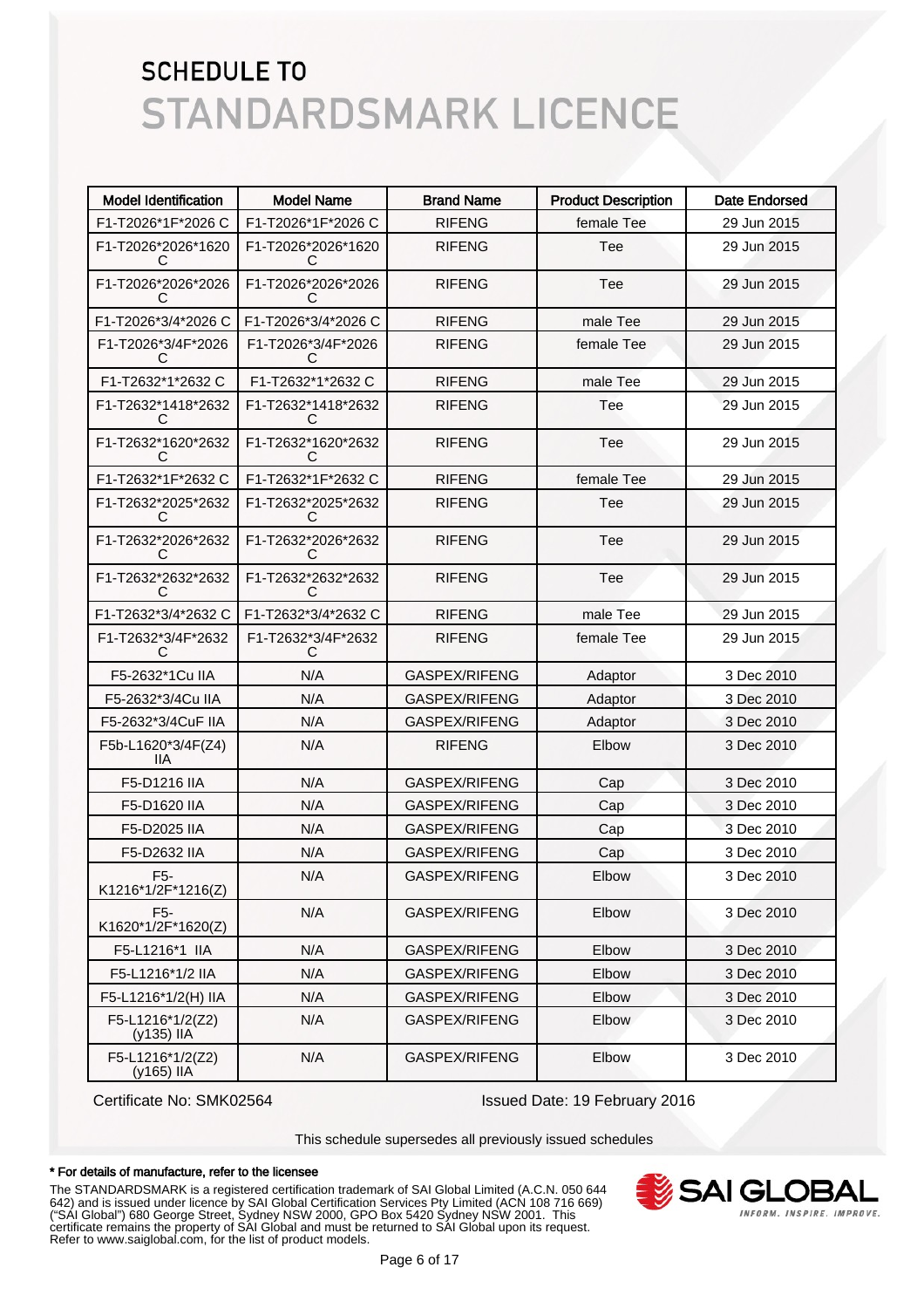| <b>Model Identification</b>            | <b>Model Name</b>       | <b>Brand Name</b> | <b>Product Description</b> | <b>Date Endorsed</b> |
|----------------------------------------|-------------------------|-------------------|----------------------------|----------------------|
| F1-T2026*1F*2026 C                     | F1-T2026*1F*2026 C      | <b>RIFENG</b>     | female Tee                 | 29 Jun 2015          |
| F1-T2026*2026*1620<br>С                | F1-T2026*2026*1620<br>С | <b>RIFENG</b>     | Tee                        | 29 Jun 2015          |
| F1-T2026*2026*2026<br>С                | F1-T2026*2026*2026<br>С | <b>RIFENG</b>     | Tee                        | 29 Jun 2015          |
| F1-T2026*3/4*2026 C                    | F1-T2026*3/4*2026 C     | <b>RIFENG</b>     | male Tee                   | 29 Jun 2015          |
| F1-T2026*3/4F*2026<br>C.               | F1-T2026*3/4F*2026<br>C | <b>RIFENG</b>     | female Tee                 | 29 Jun 2015          |
| F1-T2632*1*2632 C                      | F1-T2632*1*2632 C       | <b>RIFENG</b>     | male Tee                   | 29 Jun 2015          |
| F1-T2632*1418*2632<br>С                | F1-T2632*1418*2632<br>G | <b>RIFENG</b>     | Tee                        | 29 Jun 2015          |
| F1-T2632*1620*2632<br>С                | F1-T2632*1620*2632<br>G | <b>RIFENG</b>     | Tee                        | 29 Jun 2015          |
| F1-T2632*1F*2632 C                     | F1-T2632*1F*2632 C      | <b>RIFENG</b>     | female Tee                 | 29 Jun 2015          |
| F1-T2632*2025*2632<br>C                | F1-T2632*2025*2632<br>C | <b>RIFENG</b>     | Tee                        | 29 Jun 2015          |
| F1-T2632*2026*2632<br>C                | F1-T2632*2026*2632<br>C | <b>RIFENG</b>     | Tee                        | 29 Jun 2015          |
| F1-T2632*2632*2632<br>C                | F1-T2632*2632*2632<br>C | <b>RIFENG</b>     | Tee                        | 29 Jun 2015          |
| F1-T2632*3/4*2632 C                    | F1-T2632*3/4*2632 C     | <b>RIFENG</b>     | male Tee                   | 29 Jun 2015          |
| F1-T2632*3/4F*2632<br>С                | F1-T2632*3/4F*2632<br>C | <b>RIFENG</b>     | female Tee                 | 29 Jun 2015          |
| F5-2632*1Cu IIA                        | N/A                     | GASPEX/RIFENG     | Adaptor                    | 3 Dec 2010           |
| F5-2632*3/4Cu IIA                      | N/A                     | GASPEX/RIFENG     | Adaptor                    | 3 Dec 2010           |
| F5-2632*3/4CuF IIA                     | N/A                     | GASPEX/RIFENG     | Adaptor                    | 3 Dec 2010           |
| F5b-L1620*3/4F(Z4)<br>IIА              | N/A                     | <b>RIFENG</b>     | Elbow                      | 3 Dec 2010           |
| F5-D1216 IIA                           | N/A                     | GASPEX/RIFENG     | Cap                        | 3 Dec 2010           |
| F5-D1620 IIA                           | N/A                     | GASPEX/RIFENG     | Cap                        | 3 Dec 2010           |
| F5-D2025 IIA                           | N/A                     | GASPEX/RIFENG     | Cap                        | 3 Dec 2010           |
| F5-D2632 IIA                           | N/A                     | GASPEX/RIFENG     | Cap                        | 3 Dec 2010           |
| F <sub>5</sub> -<br>K1216*1/2F*1216(Z) | N/A                     | GASPEX/RIFENG     | Elbow                      | 3 Dec 2010           |
| F <sub>5</sub> -<br>K1620*1/2F*1620(Z) | N/A                     | GASPEX/RIFENG     | Elbow                      | 3 Dec 2010           |
| F5-L1216*1 IIA                         | N/A                     | GASPEX/RIFENG     | Elbow                      | 3 Dec 2010           |
| F5-L1216*1/2 IIA                       | N/A                     | GASPEX/RIFENG     | Elbow                      | 3 Dec 2010           |
| F5-L1216*1/2(H) IIA                    | N/A                     | GASPEX/RIFENG     | Elbow                      | 3 Dec 2010           |
| F5-L1216*1/2(Z2)<br>(y135) IIA         | N/A                     | GASPEX/RIFENG     | Elbow                      | 3 Dec 2010           |
| F5-L1216*1/2(Z2)<br>(y165) IIA         | N/A                     | GASPEX/RIFENG     | Elbow                      | 3 Dec 2010           |

Certificate No: SMK02564 Issued Date: 19 February 2016

This schedule supersedes all previously issued schedules

#### \* For details of manufacture, refer to the licensee

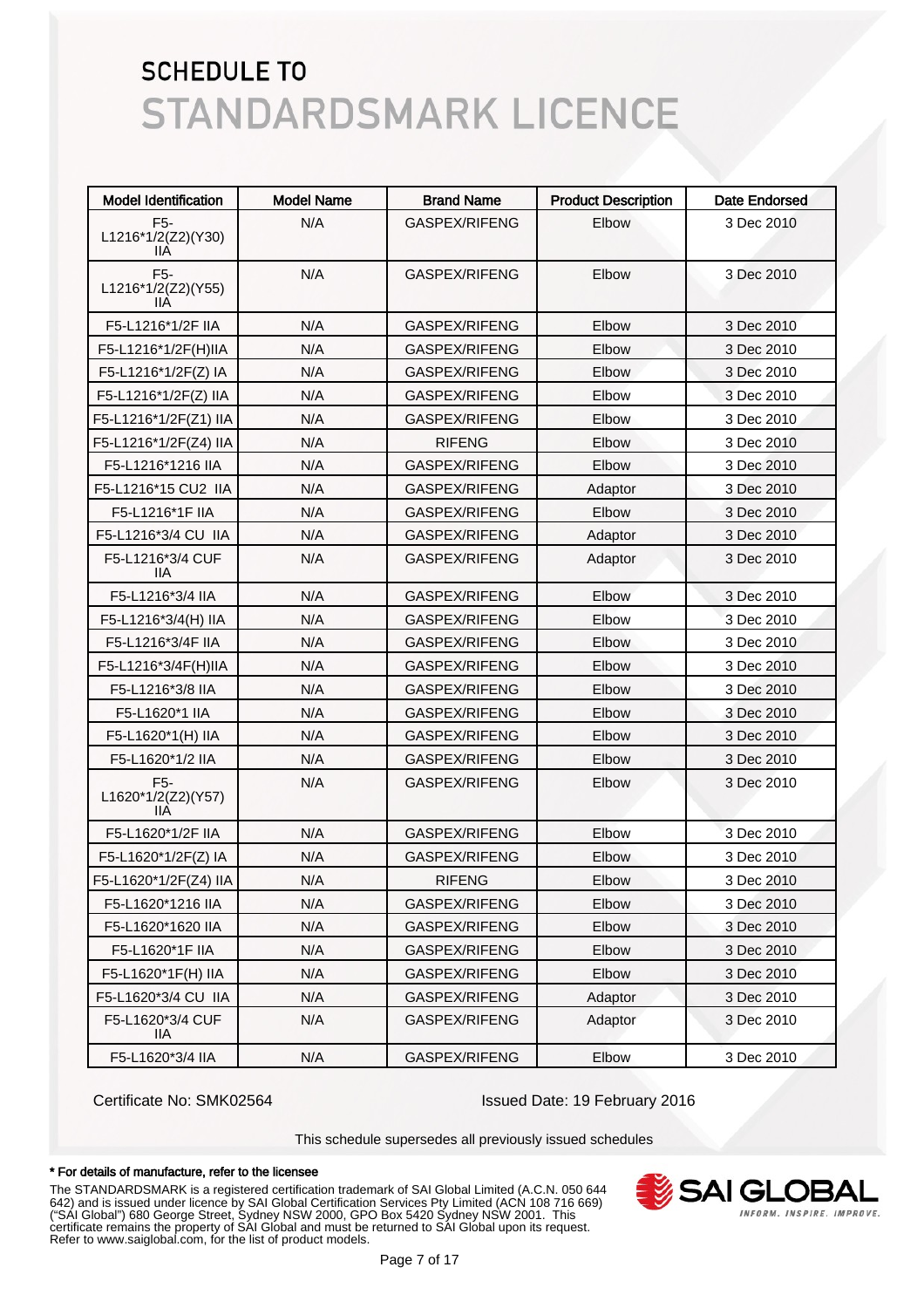| <b>Model Identification</b>                   | <b>Model Name</b> | <b>Brand Name</b> | <b>Product Description</b> | <b>Date Endorsed</b> |
|-----------------------------------------------|-------------------|-------------------|----------------------------|----------------------|
| F <sub>5</sub> -<br>L1216*1/2(Z2)(Y30)<br>11A | N/A               | GASPEX/RIFENG     | Elbow                      | 3 Dec 2010           |
| F <sub>5</sub> -<br>L1216*1/2(Z2)(Y55)<br>IIА | N/A               | GASPEX/RIFENG     | Elbow                      | 3 Dec 2010           |
| F5-L1216*1/2F IIA                             | N/A               | GASPEX/RIFENG     | Elbow                      | 3 Dec 2010           |
| F5-L1216*1/2F(H)IIA                           | N/A               | GASPEX/RIFENG     | Elbow                      | 3 Dec 2010           |
| F5-L1216*1/2F(Z) IA                           | N/A               | GASPEX/RIFENG     | Elbow                      | 3 Dec 2010           |
| F5-L1216*1/2F(Z) IIA                          | N/A               | GASPEX/RIFENG     | Elbow                      | 3 Dec 2010           |
| F5-L1216*1/2F(Z1) IIA                         | N/A               | GASPEX/RIFENG     | Elbow                      | 3 Dec 2010           |
| F5-L1216*1/2F(Z4) IIA                         | N/A               | <b>RIFENG</b>     | Elbow                      | 3 Dec 2010           |
| F5-L1216*1216 IIA                             | N/A               | GASPEX/RIFENG     | Elbow                      | 3 Dec 2010           |
| F5-L1216*15 CU2 IIA                           | N/A               | GASPEX/RIFENG     | Adaptor                    | 3 Dec 2010           |
| F5-L1216*1F IIA                               | N/A               | GASPEX/RIFENG     | Elbow                      | 3 Dec 2010           |
| F5-L1216*3/4 CU IIA                           | N/A               | GASPEX/RIFENG     | Adaptor                    | 3 Dec 2010           |
| F5-L1216*3/4 CUF<br>11A                       | N/A               | GASPEX/RIFENG     | Adaptor                    | 3 Dec 2010           |
| F5-L1216*3/4 IIA                              | N/A               | GASPEX/RIFENG     | Elbow                      | 3 Dec 2010           |
| F5-L1216*3/4(H) IIA                           | N/A               | GASPEX/RIFENG     | Elbow                      | 3 Dec 2010           |
| F5-L1216*3/4F IIA                             | N/A               | GASPEX/RIFENG     | Elbow                      | 3 Dec 2010           |
| F5-L1216*3/4F(H)IIA                           | N/A               | GASPEX/RIFENG     | Elbow                      | 3 Dec 2010           |
| F5-L1216*3/8 IIA                              | N/A               | GASPEX/RIFENG     | Elbow                      | 3 Dec 2010           |
| F5-L1620*1 IIA                                | N/A               | GASPEX/RIFENG     | Elbow                      | 3 Dec 2010           |
| F5-L1620*1(H) IIA                             | N/A               | GASPEX/RIFENG     | Elbow                      | 3 Dec 2010           |
| F5-L1620*1/2 IIA                              | N/A               | GASPEX/RIFENG     | Elbow                      | 3 Dec 2010           |
| F5-<br>L1620*1/2(Z2)(Y57)<br>11A              | N/A               | GASPEX/RIFENG     | Elbow                      | 3 Dec 2010           |
| F5-L1620*1/2F IIA                             | N/A               | GASPEX/RIFENG     | Elbow                      | 3 Dec 2010           |
| F5-L1620*1/2F(Z) IA                           | N/A               | GASPEX/RIFENG     | Elbow                      | 3 Dec 2010           |
| F5-L1620*1/2F(Z4) IIA                         | N/A               | <b>RIFENG</b>     | Elbow                      | 3 Dec 2010           |
| F5-L1620*1216 IIA                             | N/A               | GASPEX/RIFENG     | Elbow                      | 3 Dec 2010           |
| F5-L1620*1620 IIA                             | N/A               | GASPEX/RIFENG     | Elbow                      | 3 Dec 2010           |
| F5-L1620*1F IIA                               | N/A               | GASPEX/RIFENG     | Elbow                      | 3 Dec 2010           |
| F5-L1620*1F(H) IIA                            | N/A               | GASPEX/RIFENG     | Elbow                      | 3 Dec 2010           |
| F5-L1620*3/4 CU IIA                           | N/A               | GASPEX/RIFENG     | Adaptor                    | 3 Dec 2010           |
| F5-L1620*3/4 CUF<br>IIA.                      | N/A               | GASPEX/RIFENG     | Adaptor                    | 3 Dec 2010           |
| F5-L1620*3/4 IIA                              | N/A               | GASPEX/RIFENG     | Elbow                      | 3 Dec 2010           |

Certificate No: SMK02564 Issued Date: 19 February 2016

This schedule supersedes all previously issued schedules

#### \* For details of manufacture, refer to the licensee

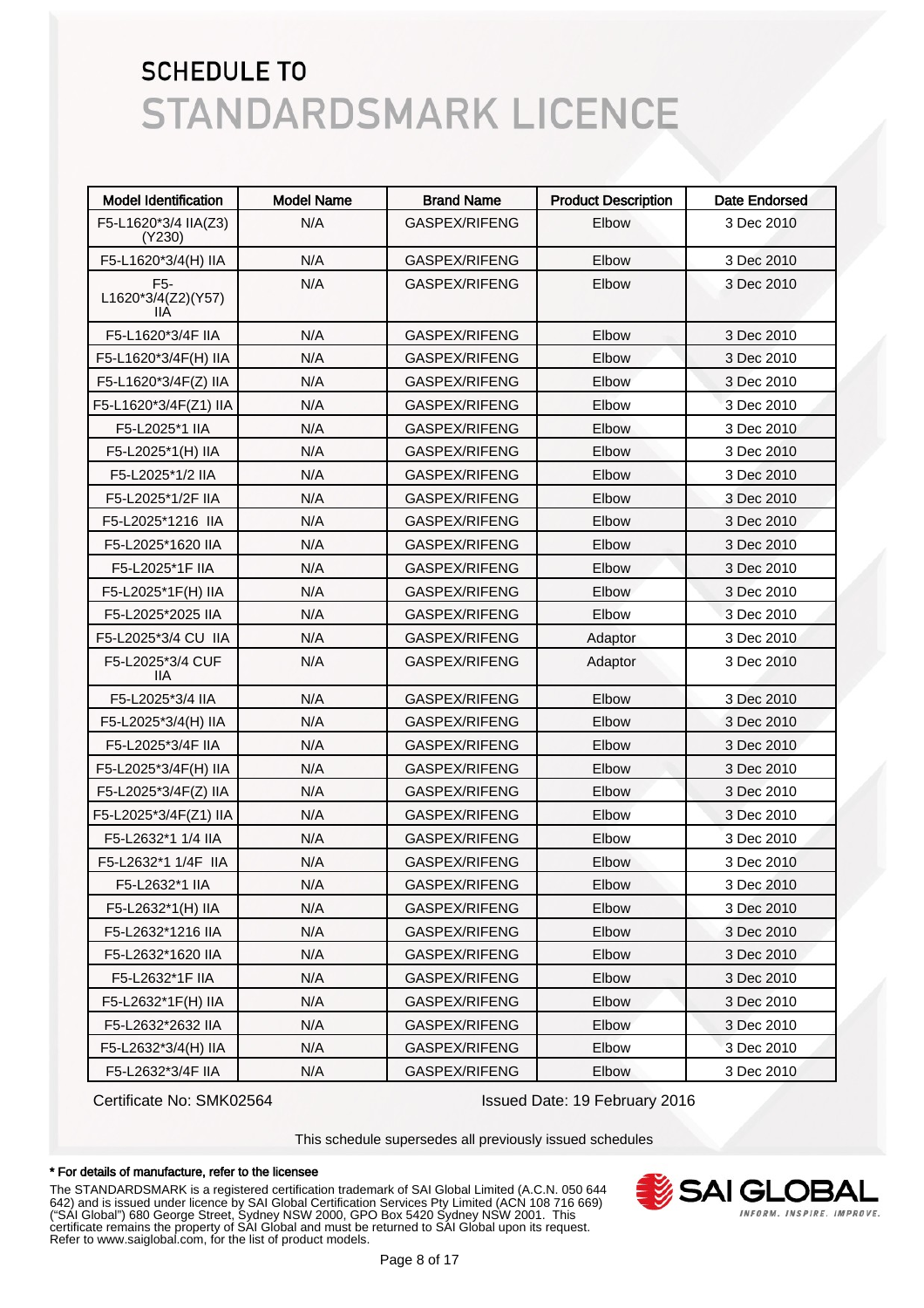| <b>Model Identification</b>                  | <b>Model Name</b> | <b>Brand Name</b>    | <b>Product Description</b> | <b>Date Endorsed</b> |
|----------------------------------------------|-------------------|----------------------|----------------------------|----------------------|
| F5-L1620*3/4 IIA(Z3)<br>(Y230)               | N/A               | GASPEX/RIFENG        | Elbow                      | 3 Dec 2010           |
| F5-L1620*3/4(H) IIA                          | N/A               | GASPEX/RIFENG        | Elbow                      | 3 Dec 2010           |
| F <sub>5</sub> -<br>L1620*3/4(Z2)(Y57)<br>ШA | N/A               | GASPEX/RIFENG        | Elbow                      | 3 Dec 2010           |
| F5-L1620*3/4F IIA                            | N/A               | GASPEX/RIFENG        | Elbow                      | 3 Dec 2010           |
| F5-L1620*3/4F(H) IIA                         | N/A               | GASPEX/RIFENG        | Elbow                      | 3 Dec 2010           |
| F5-L1620*3/4F(Z) IIA                         | N/A               | GASPEX/RIFENG        | Elbow                      | 3 Dec 2010           |
| F5-L1620*3/4F(Z1) IIA                        | N/A               | GASPEX/RIFENG        | Elbow                      | 3 Dec 2010           |
| F5-L2025*1 IIA                               | N/A               | GASPEX/RIFENG        | Elbow                      | 3 Dec 2010           |
| F5-L2025*1(H) IIA                            | N/A               | GASPEX/RIFENG        | Elbow                      | 3 Dec 2010           |
| F5-L2025*1/2 IIA                             | N/A               | GASPEX/RIFENG        | Elbow                      | 3 Dec 2010           |
| F5-L2025*1/2F IIA                            | N/A               | GASPEX/RIFENG        | Elbow                      | 3 Dec 2010           |
| F5-L2025*1216 IIA                            | N/A               | GASPEX/RIFENG        | Elbow                      | 3 Dec 2010           |
| F5-L2025*1620 IIA                            | N/A               | GASPEX/RIFENG        | Elbow                      | 3 Dec 2010           |
| F5-L2025*1F IIA                              | N/A               | GASPEX/RIFENG        | Elbow                      | 3 Dec 2010           |
| F5-L2025*1F(H) IIA                           | N/A               | GASPEX/RIFENG        | Elbow                      | 3 Dec 2010           |
| F5-L2025*2025 IIA                            | N/A               | GASPEX/RIFENG        | Elbow                      | 3 Dec 2010           |
| F5-L2025*3/4 CU IIA                          | N/A               | GASPEX/RIFENG        | Adaptor                    | 3 Dec 2010           |
| F5-L2025*3/4 CUF<br>11A                      | N/A               | GASPEX/RIFENG        | Adaptor                    | 3 Dec 2010           |
| F5-L2025*3/4 IIA                             | N/A               | GASPEX/RIFENG        | Elbow                      | 3 Dec 2010           |
| F5-L2025*3/4(H) IIA                          | N/A               | GASPEX/RIFENG        | Elbow                      | 3 Dec 2010           |
| F5-L2025*3/4F IIA                            | N/A               | GASPEX/RIFENG        | Elbow                      | 3 Dec 2010           |
| F5-L2025*3/4F(H) IIA                         | N/A               | GASPEX/RIFENG        | Elbow                      | 3 Dec 2010           |
| F5-L2025*3/4F(Z) IIA                         | N/A               | GASPEX/RIFENG        | Elbow                      | 3 Dec 2010           |
| F5-L2025*3/4F(Z1) IIA                        | N/A               | GASPEX/RIFENG        | Elbow                      | 3 Dec 2010           |
| F5-L2632*1 1/4 IIA                           | N/A               | GASPEX/RIFENG        | Elbow                      | 3 Dec 2010           |
| F5-L2632*1 1/4F IIA                          | N/A               | <b>GASPEX/RIFENG</b> | Elbow                      | 3 Dec 2010           |
| F5-L2632*1 IIA                               | N/A               | GASPEX/RIFENG        | Elbow                      | 3 Dec 2010           |
| F5-L2632*1(H) IIA                            | N/A               | GASPEX/RIFENG        | Elbow                      | 3 Dec 2010           |
| F5-L2632*1216 IIA                            | N/A               | GASPEX/RIFENG        | Elbow                      | 3 Dec 2010           |
| F5-L2632*1620 IIA                            | N/A               | GASPEX/RIFENG        | Elbow                      | 3 Dec 2010           |
| F5-L2632*1F IIA                              | N/A               | GASPEX/RIFENG        | Elbow                      | 3 Dec 2010           |
| F5-L2632*1F(H) IIA                           | N/A               | GASPEX/RIFENG        | Elbow                      | 3 Dec 2010           |
| F5-L2632*2632 IIA                            | N/A               | GASPEX/RIFENG        | Elbow                      | 3 Dec 2010           |
| F5-L2632*3/4(H) IIA                          | N/A               | GASPEX/RIFENG        | Elbow                      | 3 Dec 2010           |
| F5-L2632*3/4F IIA                            | N/A               | GASPEX/RIFENG        | Elbow                      | 3 Dec 2010           |

Certificate No: SMK02564 Issued Date: 19 February 2016

This schedule supersedes all previously issued schedules

#### \* For details of manufacture, refer to the licensee

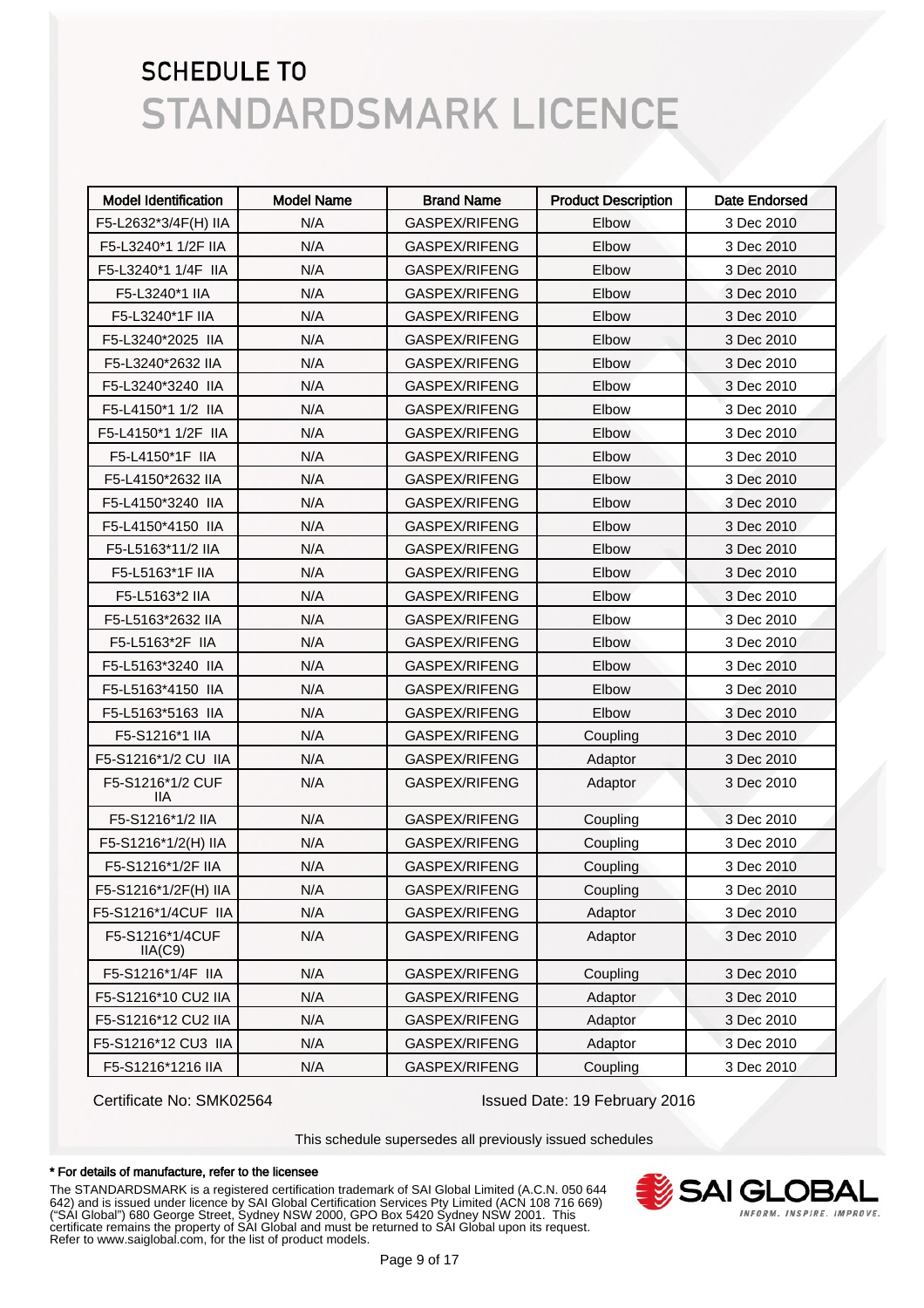| <b>Model Identification</b> | <b>Model Name</b> | <b>Brand Name</b> | <b>Product Description</b> | <b>Date Endorsed</b> |
|-----------------------------|-------------------|-------------------|----------------------------|----------------------|
| F5-L2632*3/4F(H) IIA        | N/A               | GASPEX/RIFENG     | Elbow                      | 3 Dec 2010           |
| F5-L3240*1 1/2F IIA         | N/A               | GASPEX/RIFENG     | Elbow                      | 3 Dec 2010           |
| F5-L3240*1 1/4F IIA         | N/A               | GASPEX/RIFENG     | Elbow                      | 3 Dec 2010           |
| F5-L3240*1 IIA              | N/A               | GASPEX/RIFENG     | Elbow                      | 3 Dec 2010           |
| F5-L3240*1F IIA             | N/A               | GASPEX/RIFENG     | Elbow                      | 3 Dec 2010           |
| F5-L3240*2025 IIA           | N/A               | GASPEX/RIFENG     | Elbow                      | 3 Dec 2010           |
| F5-L3240*2632 IIA           | N/A               | GASPEX/RIFENG     | Elbow                      | 3 Dec 2010           |
| F5-L3240*3240 IIA           | N/A               | GASPEX/RIFENG     | Elbow                      | 3 Dec 2010           |
| F5-L4150*1 1/2 IIA          | N/A               | GASPEX/RIFENG     | Elbow                      | 3 Dec 2010           |
| F5-L4150*1 1/2F IIA         | N/A               | GASPEX/RIFENG     | Elbow                      | 3 Dec 2010           |
| F5-L4150*1F IIA             | N/A               | GASPEX/RIFENG     | Elbow                      | 3 Dec 2010           |
| F5-L4150*2632 IIA           | N/A               | GASPEX/RIFENG     | Elbow                      | 3 Dec 2010           |
| F5-L4150*3240 IIA           | N/A               | GASPEX/RIFENG     | Elbow                      | 3 Dec 2010           |
| F5-L4150*4150 IIA           | N/A               | GASPEX/RIFENG     | Elbow                      | 3 Dec 2010           |
| F5-L5163*11/2 IIA           | N/A               | GASPEX/RIFENG     | Elbow                      | 3 Dec 2010           |
| F5-L5163*1F IIA             | N/A               | GASPEX/RIFENG     | Elbow                      | 3 Dec 2010           |
| F5-L5163*2 IIA              | N/A               | GASPEX/RIFENG     | Elbow                      | 3 Dec 2010           |
| F5-L5163*2632 IIA           | N/A               | GASPEX/RIFENG     | Elbow                      | 3 Dec 2010           |
| F5-L5163*2F IIA             | N/A               | GASPEX/RIFENG     | Elbow                      | 3 Dec 2010           |
| F5-L5163*3240 IIA           | N/A               | GASPEX/RIFENG     | Elbow                      | 3 Dec 2010           |
| F5-L5163*4150 IIA           | N/A               | GASPEX/RIFENG     | Elbow                      | 3 Dec 2010           |
| F5-L5163*5163 IIA           | N/A               | GASPEX/RIFENG     | Elbow                      | 3 Dec 2010           |
| F5-S1216*1 IIA              | N/A               | GASPEX/RIFENG     | Coupling                   | 3 Dec 2010           |
| F5-S1216*1/2 CU IIA         | N/A               | GASPEX/RIFENG     | Adaptor                    | 3 Dec 2010           |
| F5-S1216*1/2 CUF<br>11A     | N/A               | GASPEX/RIFENG     | Adaptor                    | 3 Dec 2010           |
| F5-S1216*1/2 IIA            | N/A               | GASPEX/RIFENG     | Coupling                   | 3 Dec 2010           |
| F5-S1216*1/2(H) IIA         | N/A               | GASPEX/RIFENG     | Coupling                   | 3 Dec 2010           |
| F5-S1216*1/2F IIA           | N/A               | GASPEX/RIFENG     | Coupling                   | 3 Dec 2010           |
| F5-S1216*1/2F(H) IIA        | N/A               | GASPEX/RIFENG     | Coupling                   | 3 Dec 2010           |
| F5-S1216*1/4CUF IIA         | N/A               | GASPEX/RIFENG     | Adaptor                    | 3 Dec 2010           |
| F5-S1216*1/4CUF<br>IIA(C9)  | N/A               | GASPEX/RIFENG     | Adaptor                    | 3 Dec 2010           |
| F5-S1216*1/4F IIA           | N/A               | GASPEX/RIFENG     | Coupling                   | 3 Dec 2010           |
| F5-S1216*10 CU2 IIA         | N/A               | GASPEX/RIFENG     | Adaptor                    | 3 Dec 2010           |
| F5-S1216*12 CU2 IIA         | N/A               | GASPEX/RIFENG     | Adaptor                    | 3 Dec 2010           |
| F5-S1216*12 CU3 IIA         | N/A               | GASPEX/RIFENG     | Adaptor                    | 3 Dec 2010           |
| F5-S1216*1216 IIA           | N/A               | GASPEX/RIFENG     | Coupling                   | 3 Dec 2010           |

Certificate No: SMK02564 Issued Date: 19 February 2016

This schedule supersedes all previously issued schedules

#### \* For details of manufacture, refer to the licensee

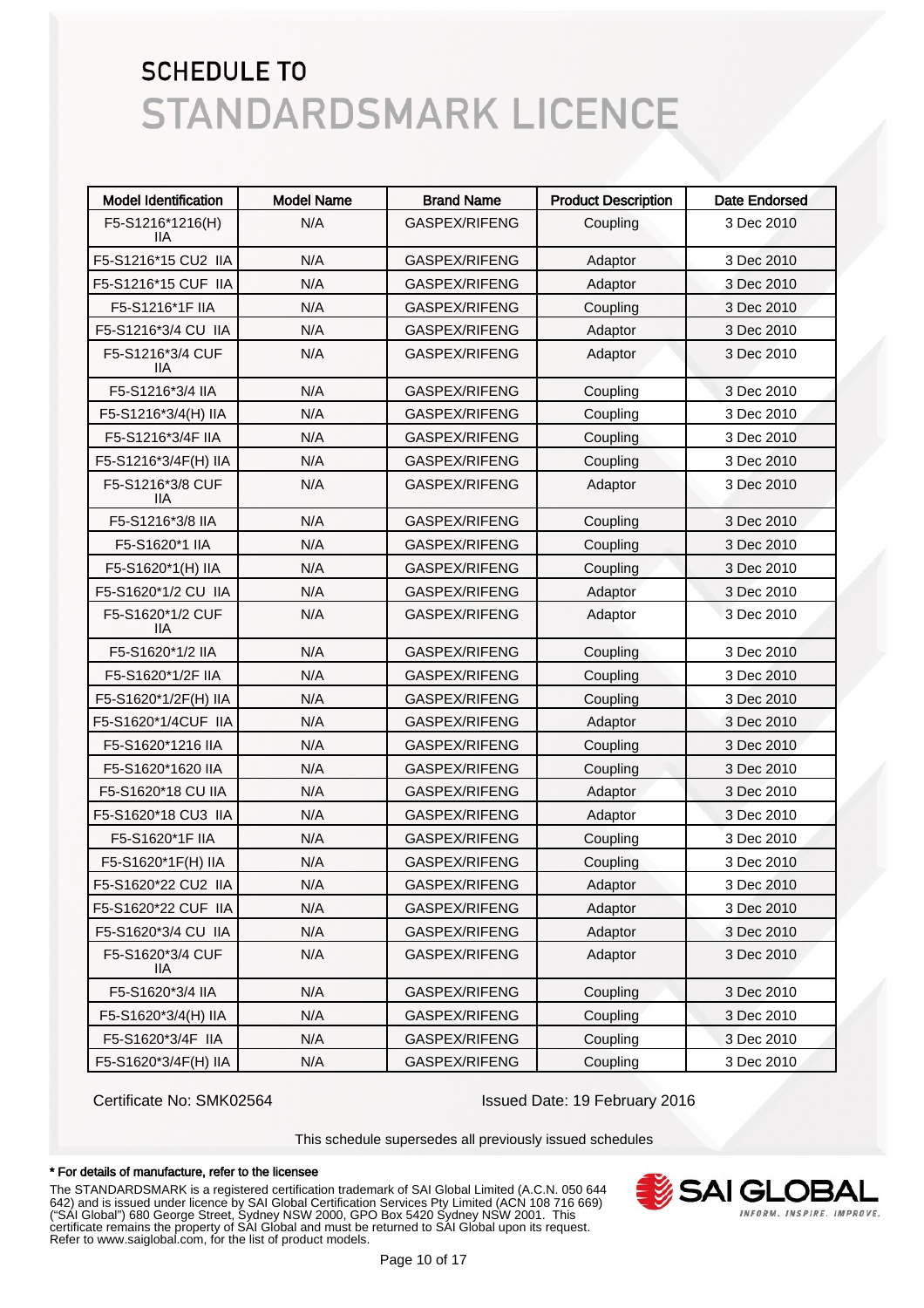| <b>Model Identification</b> | <b>Model Name</b> | <b>Brand Name</b>    | <b>Product Description</b> | <b>Date Endorsed</b> |
|-----------------------------|-------------------|----------------------|----------------------------|----------------------|
| F5-S1216*1216(H)<br>11A     | N/A               | GASPEX/RIFENG        | Coupling                   | 3 Dec 2010           |
| F5-S1216*15 CU2 IIA         | N/A               | GASPEX/RIFENG        | Adaptor                    | 3 Dec 2010           |
| F5-S1216*15 CUF IIA         | N/A               | GASPEX/RIFENG        | Adaptor                    | 3 Dec 2010           |
| F5-S1216*1F IIA             | N/A               | GASPEX/RIFENG        | Coupling                   | 3 Dec 2010           |
| F5-S1216*3/4 CU IIA         | N/A               | GASPEX/RIFENG        | Adaptor                    | 3 Dec 2010           |
| F5-S1216*3/4 CUF<br>llА     | N/A               | GASPEX/RIFENG        | Adaptor                    | 3 Dec 2010           |
| F5-S1216*3/4 IIA            | N/A               | GASPEX/RIFENG        | Coupling                   | 3 Dec 2010           |
| F5-S1216*3/4(H) IIA         | N/A               | GASPEX/RIFENG        | Coupling                   | 3 Dec 2010           |
| F5-S1216*3/4F IIA           | N/A               | GASPEX/RIFENG        | Coupling                   | 3 Dec 2010           |
| F5-S1216*3/4F(H) IIA        | N/A               | GASPEX/RIFENG        | Coupling                   | 3 Dec 2010           |
| F5-S1216*3/8 CUF<br>llА     | N/A               | GASPEX/RIFENG        | Adaptor                    | 3 Dec 2010           |
| F5-S1216*3/8 IIA            | N/A               | <b>GASPEX/RIFENG</b> | Coupling                   | 3 Dec 2010           |
| F5-S1620*1 IIA              | N/A               | GASPEX/RIFENG        | Coupling                   | 3 Dec 2010           |
| F5-S1620*1(H) IIA           | N/A               | GASPEX/RIFENG        | Coupling                   | 3 Dec 2010           |
| F5-S1620*1/2 CU IIA         | N/A               | GASPEX/RIFENG        | Adaptor                    | 3 Dec 2010           |
| F5-S1620*1/2 CUF<br>llА     | N/A               | GASPEX/RIFENG        | Adaptor                    | 3 Dec 2010           |
| F5-S1620*1/2 IIA            | N/A               | GASPEX/RIFENG        | Coupling                   | 3 Dec 2010           |
| F5-S1620*1/2F IIA           | N/A               | GASPEX/RIFENG        | Coupling                   | 3 Dec 2010           |
| F5-S1620*1/2F(H) IIA        | N/A               | GASPEX/RIFENG        | Coupling                   | 3 Dec 2010           |
| F5-S1620*1/4CUF IIA         | N/A               | GASPEX/RIFENG        | Adaptor                    | 3 Dec 2010           |
| F5-S1620*1216 IIA           | N/A               | GASPEX/RIFENG        | Coupling                   | 3 Dec 2010           |
| F5-S1620*1620 IIA           | N/A               | GASPEX/RIFENG        | Coupling                   | 3 Dec 2010           |
| F5-S1620*18 CU IIA          | N/A               | GASPEX/RIFENG        | Adaptor                    | 3 Dec 2010           |
| F5-S1620*18 CU3 IIA         | N/A               | GASPEX/RIFENG        | Adaptor                    | 3 Dec 2010           |
| F5-S1620*1F IIA             | N/A               | GASPEX/RIFENG        | Coupling                   | 3 Dec 2010           |
| F5-S1620*1F(H) IIA          | N/A               | <b>GASPEX/RIFENG</b> | Coupling                   | 3 Dec 2010           |
| F5-S1620*22 CU2 IIA         | N/A               | GASPEX/RIFENG        | Adaptor                    | 3 Dec 2010           |
| F5-S1620*22 CUF IIA         | N/A               | GASPEX/RIFENG        | Adaptor                    | 3 Dec 2010           |
| F5-S1620*3/4 CU IIA         | N/A               | GASPEX/RIFENG        | Adaptor                    | 3 Dec 2010           |
| F5-S1620*3/4 CUF<br>IIA.    | N/A               | GASPEX/RIFENG        | Adaptor                    | 3 Dec 2010           |
| F5-S1620*3/4 IIA            | N/A               | GASPEX/RIFENG        | Coupling                   | 3 Dec 2010           |
| F5-S1620*3/4(H) IIA         | N/A               | GASPEX/RIFENG        | Coupling                   | 3 Dec 2010           |
| F5-S1620*3/4F IIA           | N/A               | GASPEX/RIFENG        | Coupling                   | 3 Dec 2010           |
| F5-S1620*3/4F(H) IIA        | N/A               | GASPEX/RIFENG        | Coupling                   | 3 Dec 2010           |

Certificate No: SMK02564 Issued Date: 19 February 2016

This schedule supersedes all previously issued schedules

#### \* For details of manufacture, refer to the licensee

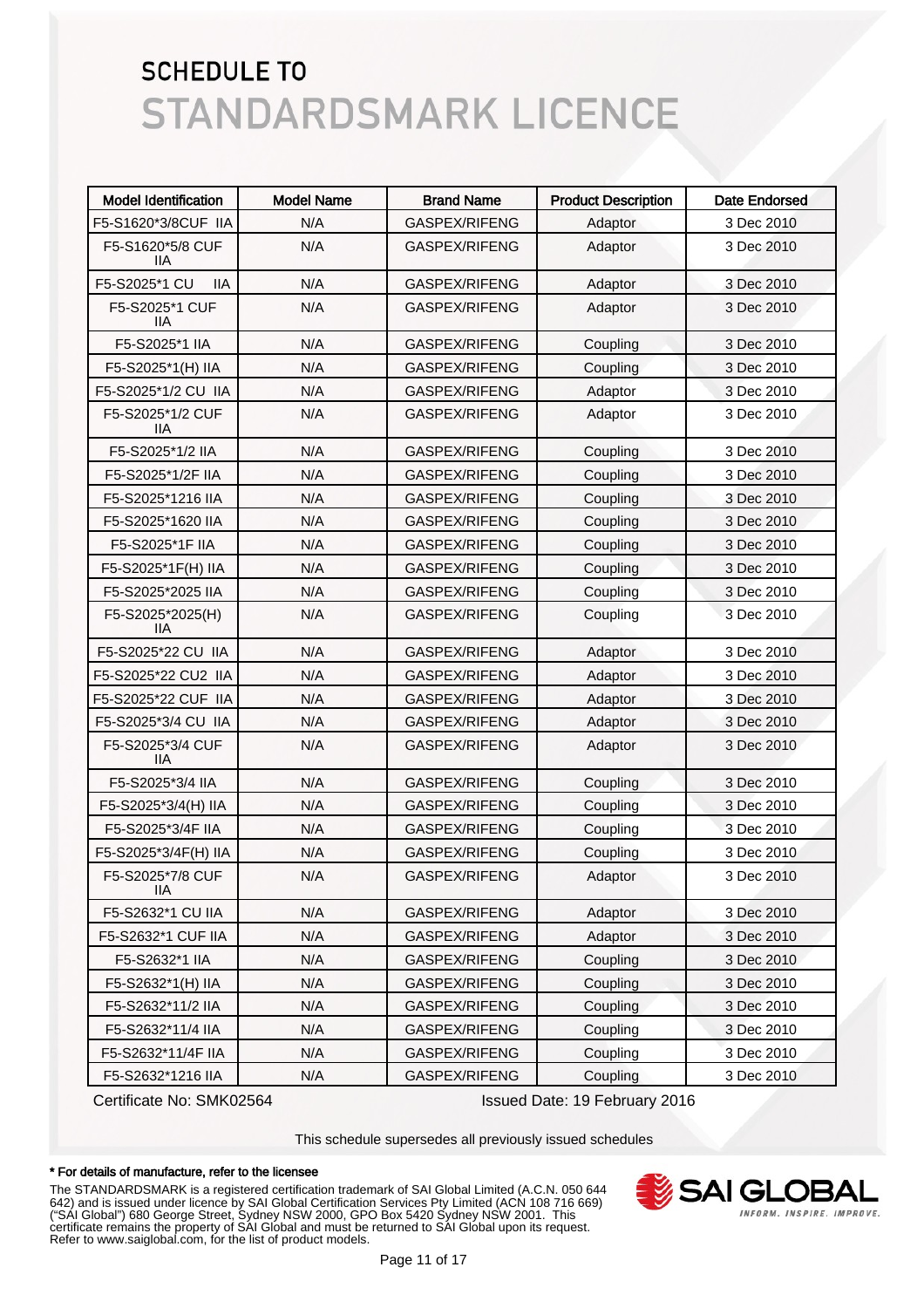| <b>Model Identification</b>    | <b>Model Name</b> | <b>Brand Name</b>    | <b>Product Description</b> | <b>Date Endorsed</b> |
|--------------------------------|-------------------|----------------------|----------------------------|----------------------|
| F5-S1620*3/8CUF IIA            | N/A               | GASPEX/RIFENG        | Adaptor                    | 3 Dec 2010           |
| F5-S1620*5/8 CUF<br>11A        | N/A               | GASPEX/RIFENG        | Adaptor                    | 3 Dec 2010           |
| F5-S2025*1 CU<br><b>IIA</b>    | N/A               | GASPEX/RIFENG        | Adaptor                    | 3 Dec 2010           |
| F5-S2025*1 CUF<br>11A          | N/A               | GASPEX/RIFENG        | Adaptor                    | 3 Dec 2010           |
| F5-S2025*1 IIA                 | N/A               | GASPEX/RIFENG        | Coupling                   | 3 Dec 2010           |
| F5-S2025*1(H) IIA              | N/A               | GASPEX/RIFENG        | Coupling                   | 3 Dec 2010           |
| F5-S2025*1/2 CU IIA            | N/A               | GASPEX/RIFENG        | Adaptor                    | 3 Dec 2010           |
| F5-S2025*1/2 CUF<br>11A        | N/A               | GASPEX/RIFENG        | Adaptor                    | 3 Dec 2010           |
| F5-S2025*1/2 IIA               | N/A               | GASPEX/RIFENG        | Coupling                   | 3 Dec 2010           |
| F5-S2025*1/2F IIA              | N/A               | GASPEX/RIFENG        | Coupling                   | 3 Dec 2010           |
| F5-S2025*1216 IIA              | N/A               | GASPEX/RIFENG        | Coupling                   | 3 Dec 2010           |
| F5-S2025*1620 IIA              | N/A               | <b>GASPEX/RIFENG</b> | Coupling                   | 3 Dec 2010           |
| F5-S2025*1F IIA                | N/A               | GASPEX/RIFENG        | Coupling                   | 3 Dec 2010           |
| F5-S2025*1F(H) IIA             | N/A               | GASPEX/RIFENG        | Coupling                   | 3 Dec 2010           |
| F5-S2025*2025 IIA              | N/A               | <b>GASPEX/RIFENG</b> | Coupling                   | 3 Dec 2010           |
| F5-S2025*2025(H)<br>11A        | N/A               | GASPEX/RIFENG        | Coupling                   | 3 Dec 2010           |
| F5-S2025*22 CU IIA             | N/A               | GASPEX/RIFENG        | Adaptor                    | 3 Dec 2010           |
| F5-S2025*22 CU2 IIA            | N/A               | GASPEX/RIFENG        | Adaptor                    | 3 Dec 2010           |
| F5-S2025*22 CUF IIA            | N/A               | GASPEX/RIFENG        | Adaptor                    | 3 Dec 2010           |
| F5-S2025*3/4 CU IIA            | N/A               | GASPEX/RIFENG        | Adaptor                    | 3 Dec 2010           |
| F5-S2025*3/4 CUF<br>11A        | N/A               | GASPEX/RIFENG        | Adaptor                    | 3 Dec 2010           |
| F5-S2025*3/4 IIA               | N/A               | GASPEX/RIFENG        | Coupling                   | 3 Dec 2010           |
| F5-S2025*3/4(H) IIA            | N/A               | GASPEX/RIFENG        | Coupling                   | 3 Dec 2010           |
| F5-S2025*3/4F IIA              | N/A               | GASPEX/RIFENG        | Coupling                   | 3 Dec 2010           |
| F5-S2025*3/4F(H) IIA           | N/A               | GASPEX/RIFENG        | Coupling                   | 3 Dec 2010           |
| F5-S2025*7/8 CUF<br><b>IIA</b> | N/A               | GASPEX/RIFENG        | Adaptor                    | 3 Dec 2010           |
| F5-S2632*1 CU IIA              | N/A               | GASPEX/RIFENG        | Adaptor                    | 3 Dec 2010           |
| F5-S2632*1 CUF IIA             | N/A               | GASPEX/RIFENG        | Adaptor                    | 3 Dec 2010           |
| F5-S2632*1 IIA                 | N/A               | GASPEX/RIFENG        | Coupling                   | 3 Dec 2010           |
| F5-S2632*1(H) IIA              | N/A               | GASPEX/RIFENG        | Coupling                   | 3 Dec 2010           |
| F5-S2632*11/2 IIA              | N/A               | GASPEX/RIFENG        | Coupling                   | 3 Dec 2010           |
| F5-S2632*11/4 IIA              | N/A               | GASPEX/RIFENG        | Coupling                   | 3 Dec 2010           |
| F5-S2632*11/4F IIA             | N/A               | GASPEX/RIFENG        | Coupling                   | 3 Dec 2010           |
| F5-S2632*1216 IIA              | N/A               | GASPEX/RIFENG        | Coupling                   | 3 Dec 2010           |

Certificate No: SMK02564 Issued Date: 19 February 2016

This schedule supersedes all previously issued schedules

#### \* For details of manufacture, refer to the licensee

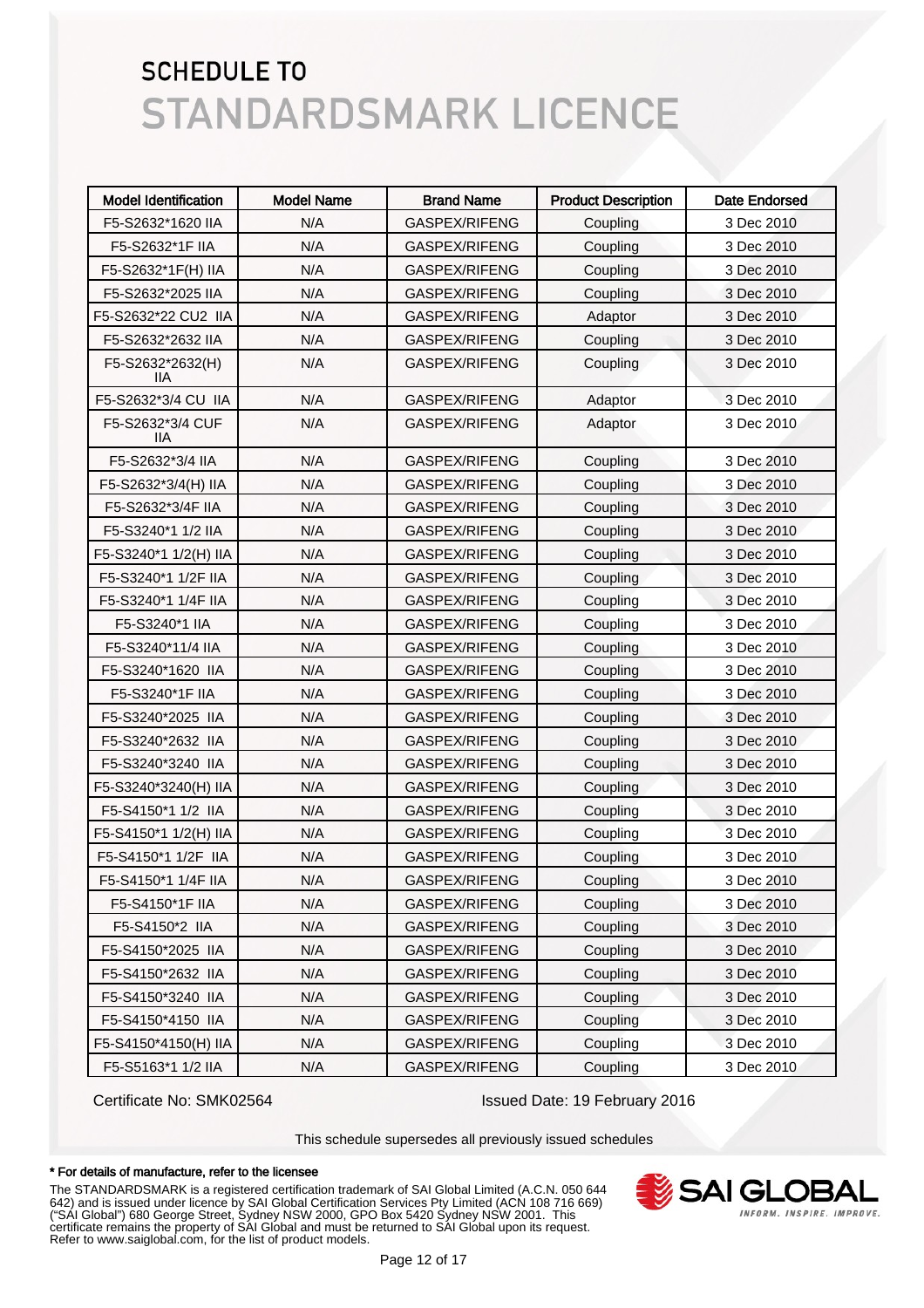| <b>Model Identification</b> | <b>Model Name</b> | <b>Brand Name</b> | <b>Product Description</b> | <b>Date Endorsed</b> |
|-----------------------------|-------------------|-------------------|----------------------------|----------------------|
| F5-S2632*1620 IIA           | N/A               | GASPEX/RIFENG     | Coupling                   | 3 Dec 2010           |
| F5-S2632*1F IIA             | N/A               | GASPEX/RIFENG     | Coupling                   | 3 Dec 2010           |
| F5-S2632*1F(H) IIA          | N/A               | GASPEX/RIFENG     | Coupling                   | 3 Dec 2010           |
| F5-S2632*2025 IIA           | N/A               | GASPEX/RIFENG     | Coupling                   | 3 Dec 2010           |
| F5-S2632*22 CU2 IIA         | N/A               | GASPEX/RIFENG     | Adaptor                    | 3 Dec 2010           |
| F5-S2632*2632 IIA           | N/A               | GASPEX/RIFENG     | Coupling                   | 3 Dec 2010           |
| F5-S2632*2632(H)<br>ШA      | N/A               | GASPEX/RIFENG     | Coupling                   | 3 Dec 2010           |
| F5-S2632*3/4 CU IIA         | N/A               | GASPEX/RIFENG     | Adaptor                    | 3 Dec 2010           |
| F5-S2632*3/4 CUF<br>IIА     | N/A               | GASPEX/RIFENG     | Adaptor                    | 3 Dec 2010           |
| F5-S2632*3/4 IIA            | N/A               | GASPEX/RIFENG     | Coupling                   | 3 Dec 2010           |
| F5-S2632*3/4(H) IIA         | N/A               | GASPEX/RIFENG     | Coupling                   | 3 Dec 2010           |
| F5-S2632*3/4F IIA           | N/A               | GASPEX/RIFENG     | Coupling                   | 3 Dec 2010           |
| F5-S3240*1 1/2 IIA          | N/A               | GASPEX/RIFENG     | Coupling                   | 3 Dec 2010           |
| F5-S3240*1 1/2(H) IIA       | N/A               | GASPEX/RIFENG     | Coupling                   | 3 Dec 2010           |
| F5-S3240*1 1/2F IIA         | N/A               | GASPEX/RIFENG     | Coupling                   | 3 Dec 2010           |
| F5-S3240*1 1/4F IIA         | N/A               | GASPEX/RIFENG     | Coupling                   | 3 Dec 2010           |
| F5-S3240*1 IIA              | N/A               | GASPEX/RIFENG     | Coupling                   | 3 Dec 2010           |
| F5-S3240*11/4 IIA           | N/A               | GASPEX/RIFENG     | Coupling                   | 3 Dec 2010           |
| F5-S3240*1620 IIA           | N/A               | GASPEX/RIFENG     | Coupling                   | 3 Dec 2010           |
| F5-S3240*1F IIA             | N/A               | GASPEX/RIFENG     | Coupling                   | 3 Dec 2010           |
| F5-S3240*2025 IIA           | N/A               | GASPEX/RIFENG     | Coupling                   | 3 Dec 2010           |
| F5-S3240*2632 IIA           | N/A               | GASPEX/RIFENG     | Coupling                   | 3 Dec 2010           |
| F5-S3240*3240 IIA           | N/A               | GASPEX/RIFENG     | Coupling                   | 3 Dec 2010           |
| F5-S3240*3240(H) IIA        | N/A               | GASPEX/RIFENG     | Coupling                   | 3 Dec 2010           |
| F5-S4150*1 1/2 IIA          | N/A               | GASPEX/RIFENG     | Coupling                   | 3 Dec 2010           |
| F5-S4150*1 1/2(H) IIA       | N/A               | GASPEX/RIFENG     | Coupling                   | 3 Dec 2010           |
| F5-S4150*1 1/2F IIA         | N/A               | GASPEX/RIFENG     | Coupling                   | 3 Dec 2010           |
| F5-S4150*1 1/4F IIA         | N/A               | GASPEX/RIFENG     | Coupling                   | 3 Dec 2010           |
| F5-S4150*1F IIA             | N/A               | GASPEX/RIFENG     | Coupling                   | 3 Dec 2010           |
| F5-S4150*2 IIA              | N/A               | GASPEX/RIFENG     | Coupling                   | 3 Dec 2010           |
| F5-S4150*2025 IIA           | N/A               | GASPEX/RIFENG     | Coupling                   | 3 Dec 2010           |
| F5-S4150*2632 IIA           | N/A               | GASPEX/RIFENG     | Coupling                   | 3 Dec 2010           |
| F5-S4150*3240 IIA           | N/A               | GASPEX/RIFENG     | Coupling                   | 3 Dec 2010           |
| F5-S4150*4150 IIA           | N/A               | GASPEX/RIFENG     | Coupling                   | 3 Dec 2010           |
| F5-S4150*4150(H) IIA        | N/A               | GASPEX/RIFENG     | Coupling                   | 3 Dec 2010           |
| F5-S5163*1 1/2 IIA          | N/A               | GASPEX/RIFENG     | Coupling                   | 3 Dec 2010           |

Certificate No: SMK02564 Issued Date: 19 February 2016

This schedule supersedes all previously issued schedules

#### \* For details of manufacture, refer to the licensee

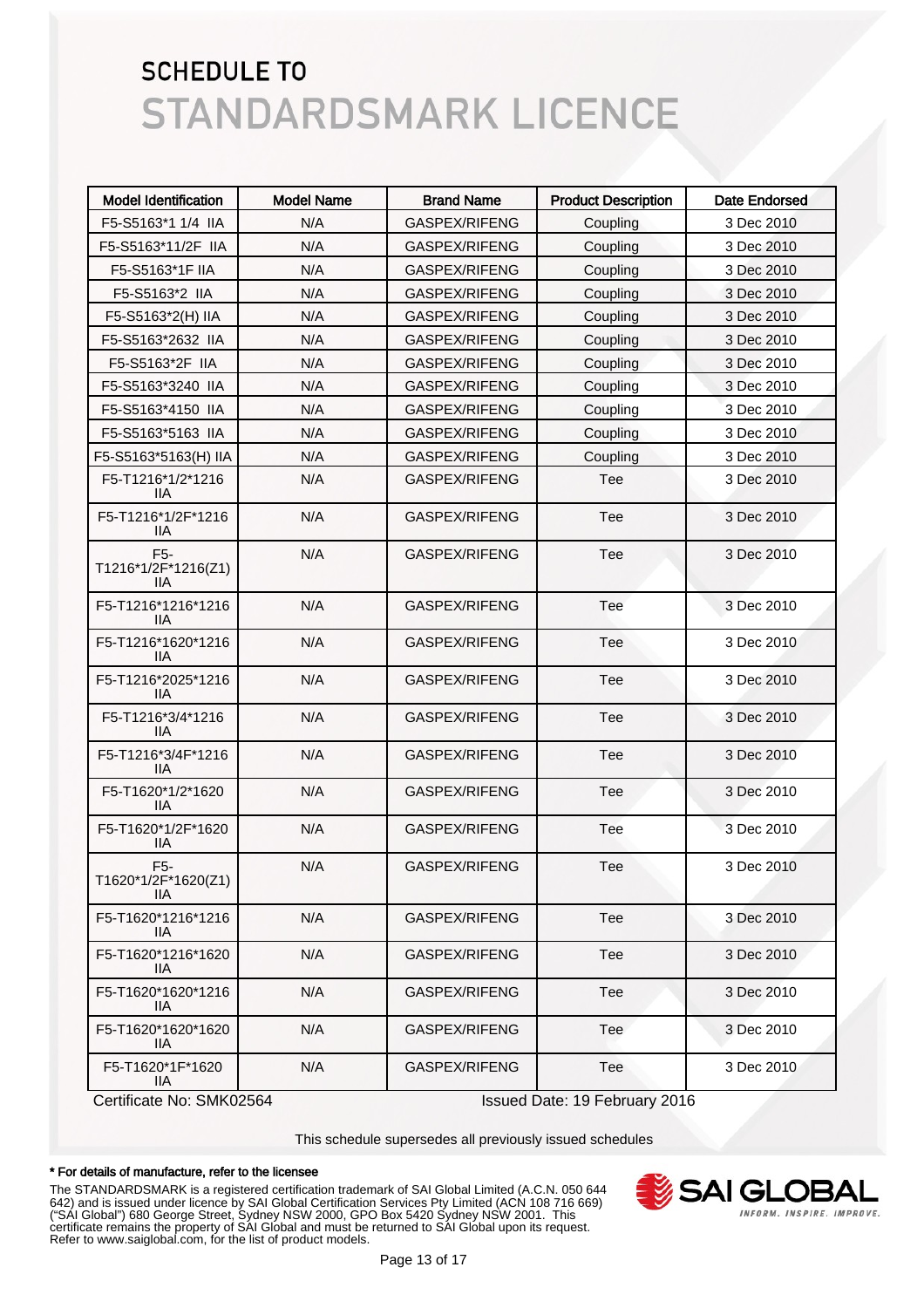| <b>Model Identification</b>                    | <b>Model Name</b> | <b>Brand Name</b>    | <b>Product Description</b> | Date Endorsed |
|------------------------------------------------|-------------------|----------------------|----------------------------|---------------|
| F5-S5163*1 1/4 IIA                             | N/A               | GASPEX/RIFENG        | Coupling                   | 3 Dec 2010    |
| F5-S5163*11/2F IIA                             | N/A               | GASPEX/RIFENG        | Coupling                   | 3 Dec 2010    |
| F5-S5163*1F IIA                                | N/A               | GASPEX/RIFENG        | Coupling                   | 3 Dec 2010    |
| F5-S5163*2 IIA                                 | N/A               | GASPEX/RIFENG        | Coupling                   | 3 Dec 2010    |
| F5-S5163*2(H) IIA                              | N/A               | GASPEX/RIFENG        | Coupling                   | 3 Dec 2010    |
| F5-S5163*2632 IIA                              | N/A               | GASPEX/RIFENG        | Coupling                   | 3 Dec 2010    |
| F5-S5163*2F IIA                                | N/A               | GASPEX/RIFENG        | Coupling                   | 3 Dec 2010    |
| F5-S5163*3240 IIA                              | N/A               | GASPEX/RIFENG        | Coupling                   | 3 Dec 2010    |
| F5-S5163*4150 IIA                              | N/A               | GASPEX/RIFENG        | Coupling                   | 3 Dec 2010    |
| F5-S5163*5163 IIA                              | N/A               | GASPEX/RIFENG        | Coupling                   | 3 Dec 2010    |
| F5-S5163*5163(H) IIA                           | N/A               | GASPEX/RIFENG        | Coupling                   | 3 Dec 2010    |
| F5-T1216*1/2*1216<br>IIА                       | N/A               | GASPEX/RIFENG        | Tee                        | 3 Dec 2010    |
| F5-T1216*1/2F*1216<br>IIА                      | N/A               | GASPEX/RIFENG        | Tee                        | 3 Dec 2010    |
| F <sub>5</sub> -<br>T1216*1/2F*1216(Z1)<br>IІA | N/A               | GASPEX/RIFENG        | Tee                        | 3 Dec 2010    |
| F5-T1216*1216*1216<br>llА                      | N/A               | GASPEX/RIFENG        | Tee                        | 3 Dec 2010    |
| F5-T1216*1620*1216<br>llА                      | N/A               | GASPEX/RIFENG        | Tee                        | 3 Dec 2010    |
| F5-T1216*2025*1216<br>llА                      | N/A               | GASPEX/RIFENG        | Tee                        | 3 Dec 2010    |
| F5-T1216*3/4*1216<br>IIА                       | N/A               | GASPEX/RIFENG        | Tee                        | 3 Dec 2010    |
| F5-T1216*3/4F*1216<br>llА                      | N/A               | GASPEX/RIFENG        | Tee                        | 3 Dec 2010    |
| F5-T1620*1/2*1620<br>llА                       | N/A               | <b>GASPEX/RIFENG</b> | Tee                        | 3 Dec 2010    |
| F5-T1620*1/2F*1620<br><b>IIA</b>               | N/A               | GASPEX/RIFENG        | Tee                        | 3 Dec 2010    |
| F5-<br>T1620*1/2F*1620(Z1)<br>IIA.             | N/A               | GASPEX/RIFENG        | Tee                        | 3 Dec 2010    |
| F5-T1620*1216*1216<br>IIA.                     | N/A               | GASPEX/RIFENG        | Tee                        | 3 Dec 2010    |
| F5-T1620*1216*1620<br>IIA.                     | N/A               | GASPEX/RIFENG        | Tee                        | 3 Dec 2010    |
| F5-T1620*1620*1216<br>IIA.                     | N/A               | GASPEX/RIFENG        | Tee                        | 3 Dec 2010    |
| F5-T1620*1620*1620<br>IIA.                     | N/A               | GASPEX/RIFENG        | Tee                        | 3 Dec 2010    |
| F5-T1620*1F*1620<br>IIA                        | N/A               | GASPEX/RIFENG        | Tee                        | 3 Dec 2010    |

Certificate No: SMK02564 Issued Date: 19 February 2016

This schedule supersedes all previously issued schedules

#### \* For details of manufacture, refer to the licensee

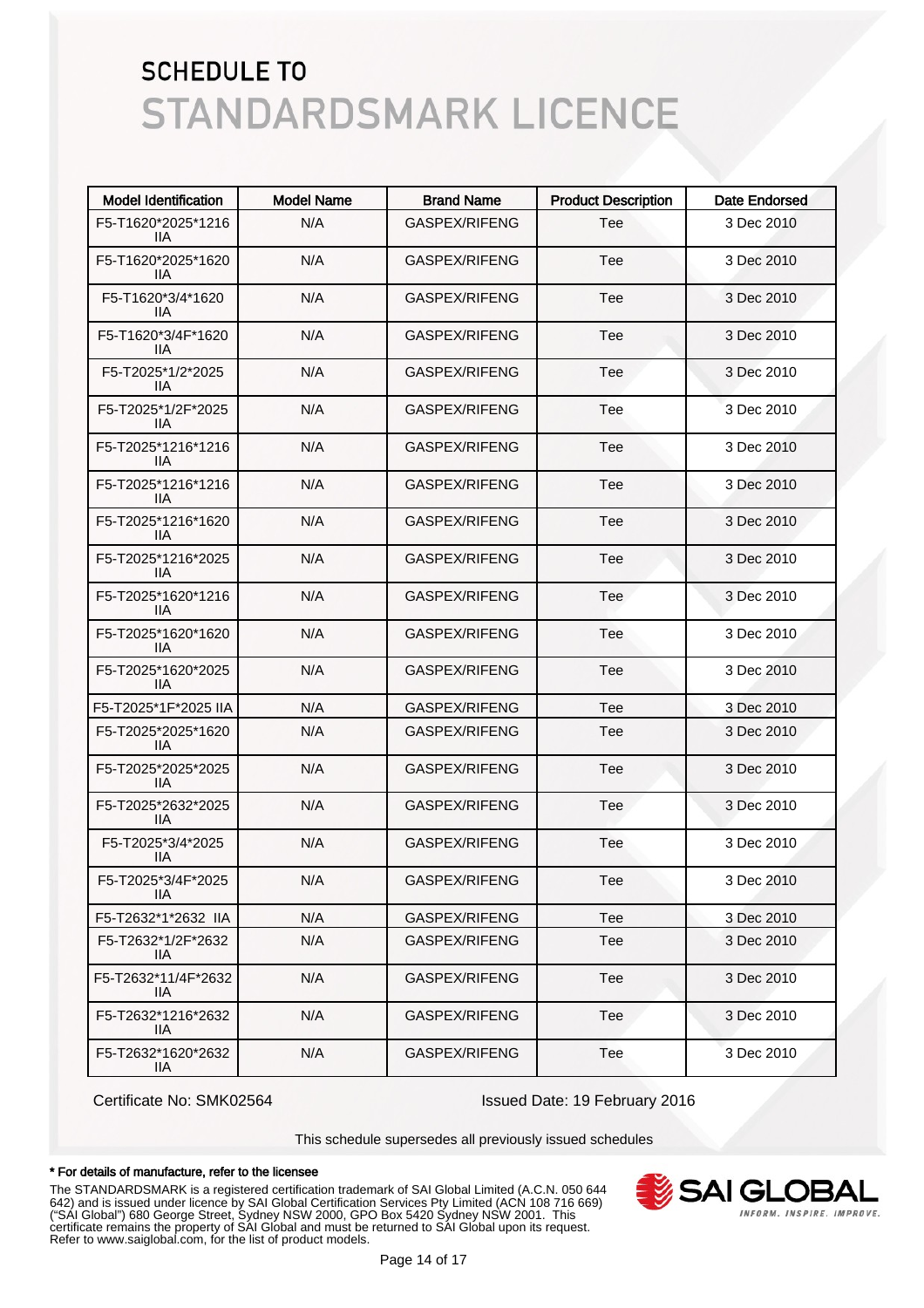| <b>Model Identification</b> | <b>Model Name</b> | <b>Brand Name</b>    | <b>Product Description</b> | Date Endorsed |
|-----------------------------|-------------------|----------------------|----------------------------|---------------|
| F5-T1620*2025*1216<br>llА   | N/A               | GASPEX/RIFENG        | Tee                        | 3 Dec 2010    |
| F5-T1620*2025*1620<br>llА   | N/A               | GASPEX/RIFENG        | Tee                        | 3 Dec 2010    |
| F5-T1620*3/4*1620<br>llА    | N/A               | GASPEX/RIFENG        | Tee                        | 3 Dec 2010    |
| F5-T1620*3/4F*1620<br>llА   | N/A               | <b>GASPEX/RIFENG</b> | Tee                        | 3 Dec 2010    |
| F5-T2025*1/2*2025<br>llА    | N/A               | <b>GASPEX/RIFENG</b> | Tee                        | 3 Dec 2010    |
| F5-T2025*1/2F*2025<br>llА   | N/A               | GASPEX/RIFENG        | Tee                        | 3 Dec 2010    |
| F5-T2025*1216*1216<br>llА   | N/A               | <b>GASPEX/RIFENG</b> | Tee                        | 3 Dec 2010    |
| F5-T2025*1216*1216<br>llА   | N/A               | <b>GASPEX/RIFENG</b> | Tee                        | 3 Dec 2010    |
| F5-T2025*1216*1620<br>llА   | N/A               | <b>GASPEX/RIFENG</b> | Tee                        | 3 Dec 2010    |
| F5-T2025*1216*2025<br>llА   | N/A               | GASPEX/RIFENG        | Tee                        | 3 Dec 2010    |
| F5-T2025*1620*1216<br>llА   | N/A               | <b>GASPEX/RIFENG</b> | Tee                        | 3 Dec 2010    |
| F5-T2025*1620*1620<br>liа   | N/A               | GASPEX/RIFENG        | Tee                        | 3 Dec 2010    |
| F5-T2025*1620*2025<br>liа   | N/A               | <b>GASPEX/RIFENG</b> | Tee                        | 3 Dec 2010    |
| F5-T2025*1F*2025 IIA        | N/A               | GASPEX/RIFENG        | Tee                        | 3 Dec 2010    |
| F5-T2025*2025*1620<br>11A   | N/A               | GASPEX/RIFENG        | Tee                        | 3 Dec 2010    |
| F5-T2025*2025*2025<br>IIА   | N/A               | GASPEX/RIFENG        | Tee                        | 3 Dec 2010    |
| F5-T2025*2632*2025<br>IIА   | N/A               | GASPEX/RIFENG        | Tee                        | 3 Dec 2010    |
| F5-T2025*3/4*2025<br>llА    | N/A               | GASPEX/RIFENG        | Tee                        | 3 Dec 2010    |
| F5-T2025*3/4F*2025<br>IIА   | N/A               | GASPEX/RIFENG        | Tee                        | 3 Dec 2010    |
| F5-T2632*1*2632 IIA         | N/A               | GASPEX/RIFENG        | Tee                        | 3 Dec 2010    |
| F5-T2632*1/2F*2632<br>IIA.  | N/A               | GASPEX/RIFENG        | Tee                        | 3 Dec 2010    |
| F5-T2632*11/4F*2632<br>IIA. | N/A               | GASPEX/RIFENG        | Tee                        | 3 Dec 2010    |
| F5-T2632*1216*2632<br>IIA.  | N/A               | GASPEX/RIFENG        | Tee                        | 3 Dec 2010    |
| F5-T2632*1620*2632<br>IIA.  | N/A               | GASPEX/RIFENG        | Tee                        | 3 Dec 2010    |

Certificate No: SMK02564 Issued Date: 19 February 2016

This schedule supersedes all previously issued schedules

#### \* For details of manufacture, refer to the licensee

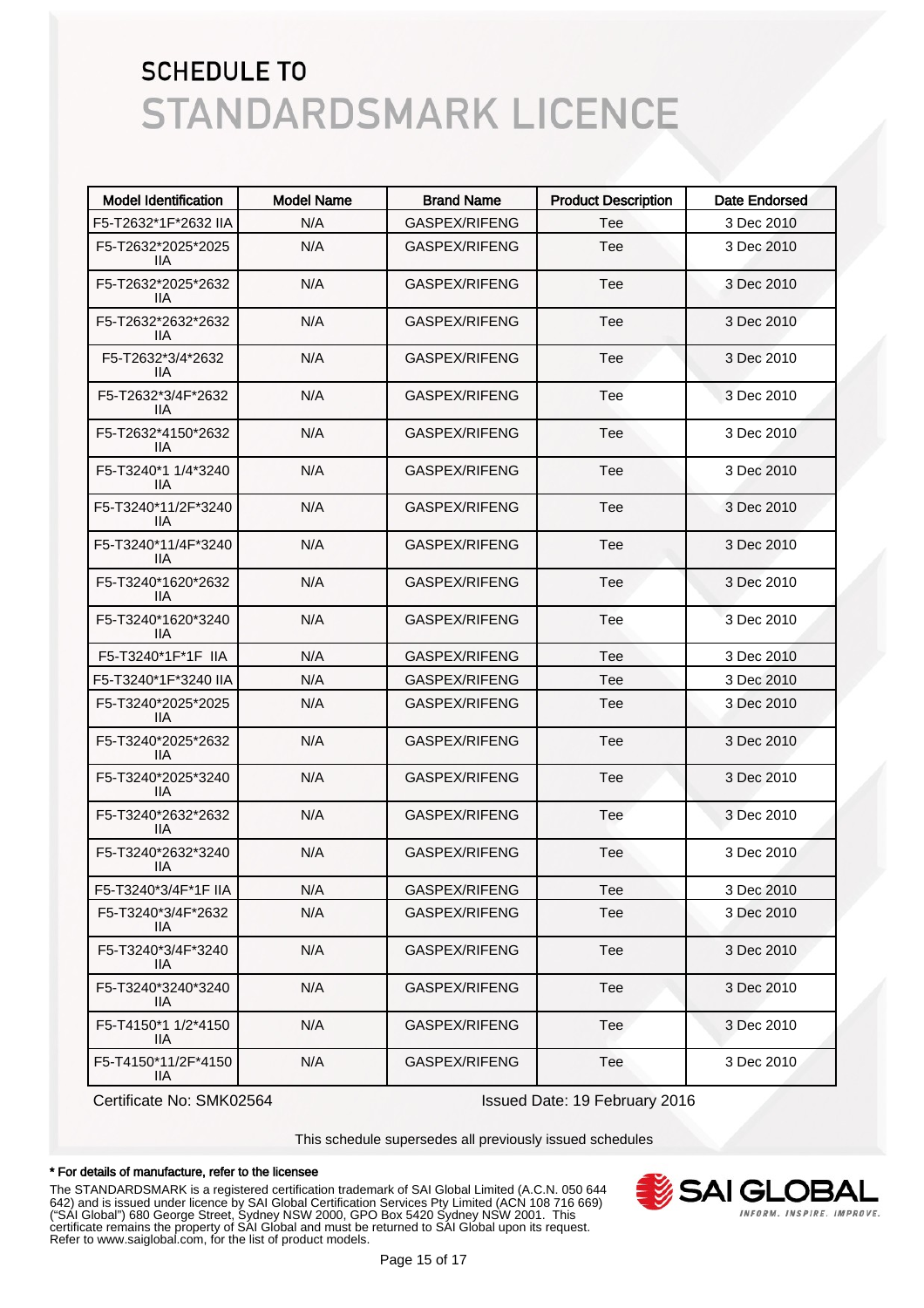| <b>Model Identification</b> | <b>Model Name</b> | <b>Brand Name</b> | <b>Product Description</b> | <b>Date Endorsed</b> |
|-----------------------------|-------------------|-------------------|----------------------------|----------------------|
| F5-T2632*1F*2632 IIA        | N/A               | GASPEX/RIFENG     | Tee                        | 3 Dec 2010           |
| F5-T2632*2025*2025<br>11A   | N/A               | GASPEX/RIFENG     | Tee                        | 3 Dec 2010           |
| F5-T2632*2025*2632<br>llА   | N/A               | GASPEX/RIFENG     | Tee                        | 3 Dec 2010           |
| F5-T2632*2632*2632<br>IIA.  | N/A               | GASPEX/RIFENG     | Tee                        | 3 Dec 2010           |
| F5-T2632*3/4*2632<br>11A    | N/A               | GASPEX/RIFENG     | Tee                        | 3 Dec 2010           |
| F5-T2632*3/4F*2632<br>11A   | N/A               | GASPEX/RIFENG     | Tee                        | 3 Dec 2010           |
| F5-T2632*4150*2632<br>11A   | N/A               | GASPEX/RIFENG     | Tee                        | 3 Dec 2010           |
| F5-T3240*1 1/4*3240<br>11A  | N/A               | GASPEX/RIFENG     | Tee                        | 3 Dec 2010           |
| F5-T3240*11/2F*3240<br>IIА  | N/A               | GASPEX/RIFENG     | Tee                        | 3 Dec 2010           |
| F5-T3240*11/4F*3240<br>11A  | N/A               | GASPEX/RIFENG     | Tee                        | 3 Dec 2010           |
| F5-T3240*1620*2632<br>11A   | N/A               | GASPEX/RIFENG     | Tee                        | 3 Dec 2010           |
| F5-T3240*1620*3240<br>11A   | N/A               | GASPEX/RIFENG     | Tee                        | 3 Dec 2010           |
| F5-T3240*1F*1F IIA          | N/A               | GASPEX/RIFENG     | Tee                        | 3 Dec 2010           |
| F5-T3240*1F*3240 IIA        | N/A               | GASPEX/RIFENG     | Tee                        | 3 Dec 2010           |
| F5-T3240*2025*2025<br>llА   | N/A               | GASPEX/RIFENG     | Tee                        | 3 Dec 2010           |
| F5-T3240*2025*2632<br>llА   | N/A               | GASPEX/RIFENG     | Tee                        | 3 Dec 2010           |
| F5-T3240*2025*3240<br>11A   | N/A               | GASPEX/RIFENG     | Tee                        | 3 Dec 2010           |
| F5-T3240*2632*2632<br>11A   | N/A               | GASPEX/RIFENG     | Tee                        | 3 Dec 2010           |
| F5-T3240*2632*3240<br>IIА   | N/A               | GASPEX/RIFENG     | Tee                        | 3 Dec 2010           |
| F5-T3240*3/4F*1F IIA        | N/A               | GASPEX/RIFENG     | Tee                        | 3 Dec 2010           |
| F5-T3240*3/4F*2632<br>11A   | N/A               | GASPEX/RIFENG     | Tee                        | 3 Dec 2010           |
| F5-T3240*3/4F*3240<br>IIА   | N/A               | GASPEX/RIFENG     | Tee                        | 3 Dec 2010           |
| F5-T3240*3240*3240<br>IIА   | N/A               | GASPEX/RIFENG     | Tee                        | 3 Dec 2010           |
| F5-T4150*1 1/2*4150<br>IIА  | N/A               | GASPEX/RIFENG     | Tee                        | 3 Dec 2010           |
| F5-T4150*11/2F*4150<br>IIA. | N/A               | GASPEX/RIFENG     | Tee                        | 3 Dec 2010           |

Certificate No: SMK02564 Issued Date: 19 February 2016

This schedule supersedes all previously issued schedules

#### \* For details of manufacture, refer to the licensee

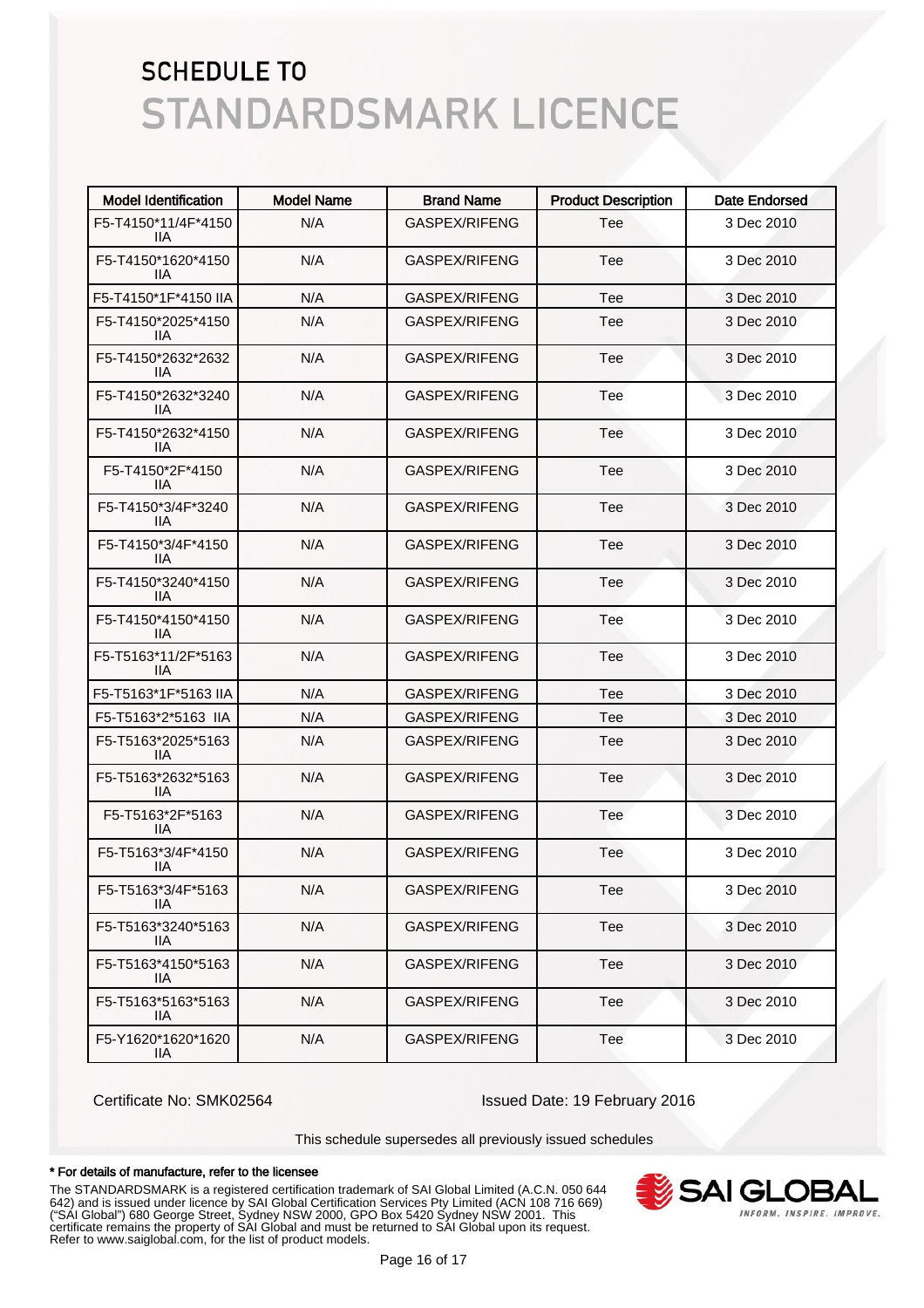| <b>Model Identification</b> | <b>Model Name</b> | <b>Brand Name</b>    | <b>Product Description</b> | <b>Date Endorsed</b> |
|-----------------------------|-------------------|----------------------|----------------------------|----------------------|
| F5-T4150*11/4F*4150<br>IIA. | N/A               | GASPEX/RIFENG        | Tee                        | 3 Dec 2010           |
| F5-T4150*1620*4150<br>llА   | N/A               | GASPEX/RIFENG        | Tee                        | 3 Dec 2010           |
| F5-T4150*1F*4150 IIA        | N/A               | GASPEX/RIFENG        | Tee                        | 3 Dec 2010           |
| F5-T4150*2025*4150<br>llА   | N/A               | <b>GASPEX/RIFENG</b> | Tee                        | 3 Dec 2010           |
| F5-T4150*2632*2632<br>llА   | N/A               | GASPEX/RIFENG        | Tee                        | 3 Dec 2010           |
| F5-T4150*2632*3240<br>llА   | N/A               | GASPEX/RIFENG        | Tee                        | 3 Dec 2010           |
| F5-T4150*2632*4150<br>llА   | N/A               | GASPEX/RIFENG        | Tee                        | 3 Dec 2010           |
| F5-T4150*2F*4150<br>llА     | N/A               | GASPEX/RIFENG        | Tee                        | 3 Dec 2010           |
| F5-T4150*3/4F*3240<br>llА   | N/A               | GASPEX/RIFENG        | Tee                        | 3 Dec 2010           |
| F5-T4150*3/4F*4150<br>llА   | N/A               | GASPEX/RIFENG        | Tee                        | 3 Dec 2010           |
| F5-T4150*3240*4150<br>llА   | N/A               | GASPEX/RIFENG        | Tee                        | 3 Dec 2010           |
| F5-T4150*4150*4150<br>llА   | N/A               | GASPEX/RIFENG        | Tee                        | 3 Dec 2010           |
| F5-T5163*11/2F*5163<br>llА  | N/A               | GASPEX/RIFENG        | Tee                        | 3 Dec 2010           |
| F5-T5163*1F*5163 IIA        | N/A               | GASPEX/RIFENG        | Tee                        | 3 Dec 2010           |
| F5-T5163*2*5163 IIA         | N/A               | GASPEX/RIFENG        | Tee                        | 3 Dec 2010           |
| F5-T5163*2025*5163<br>IIА   | N/A               | GASPEX/RIFENG        | Tee                        | 3 Dec 2010           |
| F5-T5163*2632*5163<br>IIА   | N/A               | GASPEX/RIFENG        | Tee                        | 3 Dec 2010           |
| F5-T5163*2F*5163<br>llА     | N/A               | GASPEX/RIFENG        | Tee                        | 3 Dec 2010           |
| F5-T5163*3/4F*4150<br>llА   | N/A               | GASPEX/RIFENG        | Tee                        | 3 Dec 2010           |
| F5-T5163*3/4F*5163<br>IIA   | N/A               | GASPEX/RIFENG        | Tee                        | 3 Dec 2010           |
| F5-T5163*3240*5163<br>IIA.  | N/A               | GASPEX/RIFENG        | Tee                        | 3 Dec 2010           |
| F5-T5163*4150*5163<br>IIA.  | N/A               | GASPEX/RIFENG        | Tee                        | 3 Dec 2010           |
| F5-T5163*5163*5163<br>IIA.  | N/A               | GASPEX/RIFENG        | Tee                        | 3 Dec 2010           |
| F5-Y1620*1620*1620<br>IIA.  | N/A               | GASPEX/RIFENG        | Tee                        | 3 Dec 2010           |

Certificate No: SMK02564 Issued Date: 19 February 2016

This schedule supersedes all previously issued schedules

#### \* For details of manufacture, refer to the licensee